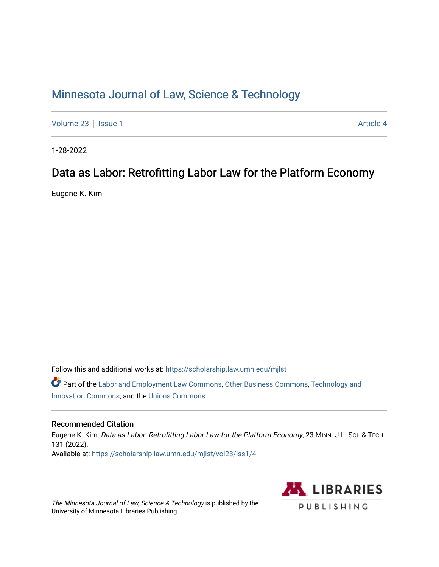# [Minnesota Journal of Law, Science & Technology](https://scholarship.law.umn.edu/mjlst?utm_source=scholarship.law.umn.edu%2Fmjlst%2Fvol23%2Fiss1%2F4&utm_medium=PDF&utm_campaign=PDFCoverPages)

[Volume 23](https://scholarship.law.umn.edu/mjlst/vol23?utm_source=scholarship.law.umn.edu%2Fmjlst%2Fvol23%2Fiss1%2F4&utm_medium=PDF&utm_campaign=PDFCoverPages) | [Issue 1](https://scholarship.law.umn.edu/mjlst/vol23/iss1?utm_source=scholarship.law.umn.edu%2Fmjlst%2Fvol23%2Fiss1%2F4&utm_medium=PDF&utm_campaign=PDFCoverPages) Article 4

1-28-2022

## Data as Labor: Retrofitting Labor Law for the Platform Economy

Eugene K. Kim

Follow this and additional works at: [https://scholarship.law.umn.edu/mjlst](https://scholarship.law.umn.edu/mjlst?utm_source=scholarship.law.umn.edu%2Fmjlst%2Fvol23%2Fiss1%2F4&utm_medium=PDF&utm_campaign=PDFCoverPages) 

Part of the [Labor and Employment Law Commons](http://network.bepress.com/hgg/discipline/909?utm_source=scholarship.law.umn.edu%2Fmjlst%2Fvol23%2Fiss1%2F4&utm_medium=PDF&utm_campaign=PDFCoverPages), [Other Business Commons,](http://network.bepress.com/hgg/discipline/647?utm_source=scholarship.law.umn.edu%2Fmjlst%2Fvol23%2Fiss1%2F4&utm_medium=PDF&utm_campaign=PDFCoverPages) [Technology and](http://network.bepress.com/hgg/discipline/644?utm_source=scholarship.law.umn.edu%2Fmjlst%2Fvol23%2Fiss1%2F4&utm_medium=PDF&utm_campaign=PDFCoverPages) [Innovation Commons](http://network.bepress.com/hgg/discipline/644?utm_source=scholarship.law.umn.edu%2Fmjlst%2Fvol23%2Fiss1%2F4&utm_medium=PDF&utm_campaign=PDFCoverPages), and the [Unions Commons](http://network.bepress.com/hgg/discipline/1260?utm_source=scholarship.law.umn.edu%2Fmjlst%2Fvol23%2Fiss1%2F4&utm_medium=PDF&utm_campaign=PDFCoverPages) 

### Recommended Citation

Eugene K. Kim, Data as Labor: Retrofitting Labor Law for the Platform Economy, 23 MINN. J.L. Sci. & TECH. 131 (2022). Available at: [https://scholarship.law.umn.edu/mjlst/vol23/iss1/4](https://scholarship.law.umn.edu/mjlst/vol23/iss1/4?utm_source=scholarship.law.umn.edu%2Fmjlst%2Fvol23%2Fiss1%2F4&utm_medium=PDF&utm_campaign=PDFCoverPages) 

The Minnesota Journal of Law, Science & Technology is published by the University of Minnesota Libraries Publishing.

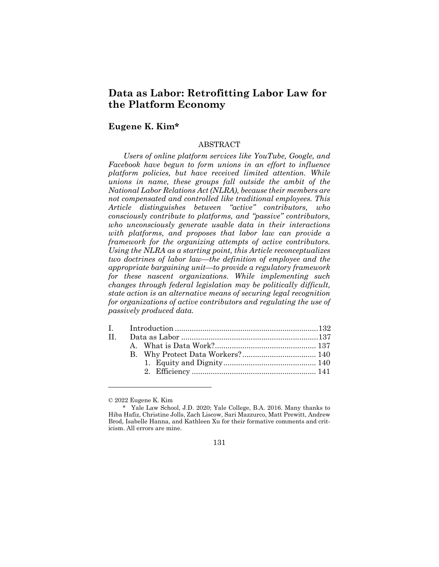## **Data as Labor: Retrofitting Labor Law for the Platform Economy**

## **Eugene K. Kim\***

#### ABSTRACT

*Users of online platform services like YouTube, Google, and Facebook have begun to form unions in an effort to influence platform policies, but have received limited attention. While unions in name, these groups fall outside the ambit of the National Labor Relations Act (NLRA), because their members are not compensated and controlled like traditional employees. This Article distinguishes between "active" contributors, who consciously contribute to platforms, and "passive" contributors, who unconsciously generate usable data in their interactions with platforms, and proposes that labor law can provide a framework for the organizing attempts of active contributors. Using the NLRA as a starting point, this Article reconceptualizes two doctrines of labor law—the definition of employee and the appropriate bargaining unit—to provide a regulatory framework for these nascent organizations. While implementing such changes through federal legislation may be politically difficult, state action is an alternative means of securing legal recognition for organizations of active contributors and regulating the use of passively produced data.*

| П |  |  |
|---|--|--|
|   |  |  |
|   |  |  |
|   |  |  |
|   |  |  |
|   |  |  |

<sup>\*</sup> Yale Law School, J.D. 2020; Yale College, B.A. 2016. Many thanks to Hiba Hafiz, Christine Jolls, Zach Liscow, Sari Mazzurco, Matt Prewitt, Andrew Brod, Isabelle Hanna, and Kathleen Xu for their formative comments and criticism. All errors are mine.



<sup>© 2022</sup> Eugene K. Kim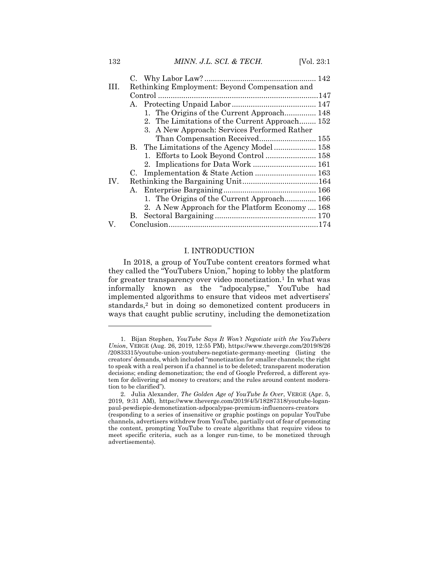132 *MINN. J.L. SCI. & TECH.* [Vol. 23:1

| HL. | Rethinking Employment: Beyond Compensation and  |  |  |
|-----|-------------------------------------------------|--|--|
|     |                                                 |  |  |
|     | A.                                              |  |  |
|     | 1. The Origins of the Current Approach 148      |  |  |
|     | 2. The Limitations of the Current Approach 152  |  |  |
|     | 3. A New Approach: Services Performed Rather    |  |  |
|     | Than Compensation Received 155                  |  |  |
|     |                                                 |  |  |
|     | 1. Efforts to Look Beyond Control  158          |  |  |
|     |                                                 |  |  |
|     |                                                 |  |  |
| IV. |                                                 |  |  |
|     |                                                 |  |  |
|     | 1. The Origins of the Current Approach 166      |  |  |
|     | 2. A New Approach for the Platform Economy  168 |  |  |
|     |                                                 |  |  |
| V.  |                                                 |  |  |

#### I. INTRODUCTION

In 2018, a group of YouTube content creators formed what they called the "YouTubers Union," hoping to lobby the platform for greater transparency over video monetization.<sup>1</sup> In what was informally known as the "adpocalypse," YouTube had implemented algorithms to ensure that videos met advertisers' standards,<sup>2</sup> but in doing so demonetized content producers in ways that caught public scrutiny, including the demonetization

<sup>1.</sup> Bijan Stephen, *YouTube Says It Won't Negotiate with the YouTubers Union*, VERGE (Aug. 26, 2019, 12:55 PM), https://www.theverge.com/2019/8/26 /20833315/youtube-union-youtubers-negotiate-germany-meeting (listing the creators' demands, which included "monetization for smaller channels; the right to speak with a real person if a channel is to be deleted; transparent moderation decisions; ending demonetization; the end of Google Preferred, a different system for delivering ad money to creators; and the rules around content moderation to be clarified").

<sup>2.</sup> Julia Alexander, *The Golden Age of YouTube Is Over*, VERGE (Apr. 5, 2019, 9:31 AM), https://www.theverge.com/2019/4/5/18287318/youtube-loganpaul-pewdiepie-demonetization-adpocalypse-premium-influencers-creators (responding to a series of insensitive or graphic postings on popular YouTube channels, advertisers withdrew from YouTube, partially out of fear of promoting the content, prompting YouTube to create algorithms that require videos to meet specific criteria, such as a longer run-time, to be monetized through advertisements).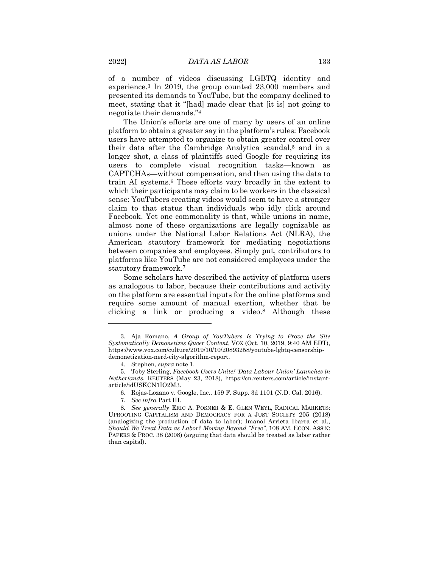of a number of videos discussing LGBTQ identity and experience.<sup>3</sup> In 2019, the group counted 23,000 members and presented its demands to YouTube, but the company declined to meet, stating that it "[had] made clear that [it is] not going to negotiate their demands."<sup>4</sup>

The Union's efforts are one of many by users of an online platform to obtain a greater say in the platform's rules: Facebook users have attempted to organize to obtain greater control over their data after the Cambridge Analytica scandal,<sup>5</sup> and in a longer shot, a class of plaintiffs sued Google for requiring its users to complete visual recognition tasks—known as CAPTCHAs—without compensation, and then using the data to train AI systems.<sup>6</sup> These efforts vary broadly in the extent to which their participants may claim to be workers in the classical sense: YouTubers creating videos would seem to have a stronger claim to that status than individuals who idly click around Facebook. Yet one commonality is that, while unions in name, almost none of these organizations are legally cognizable as unions under the National Labor Relations Act (NLRA), the American statutory framework for mediating negotiations between companies and employees. Simply put, contributors to platforms like YouTube are not considered employees under the statutory framework.<sup>7</sup>

Some scholars have described the activity of platform users as analogous to labor, because their contributions and activity on the platform are essential inputs for the online platforms and require some amount of manual exertion, whether that be clicking a link or producing a video.<sup>8</sup> Although these

<sup>3.</sup> Aja Romano, *A Group of YouTubers Is Trying to Prove the Site Systematically Demonetizes Queer Content*, VOX (Oct. 10, 2019, 9:40 AM EDT), https://www.vox.com/culture/2019/10/10/20893258/youtube-lgbtq-censorshipdemonetization-nerd-city-algorithm-report.

<sup>4.</sup> Stephen, *supra* note 1.

<sup>5.</sup> Toby Sterling, *Facebook Users Unite! 'Data Labour Union' Launches in Netherlands*, REUTERS (May 23, 2018), https://cn.reuters.com/article/instantarticle/idUSKCN1IO2M3.

<sup>6.</sup> Rojas-Lozano v. Google, Inc., 159 F. Supp. 3d 1101 (N.D. Cal. 2016).

<sup>7</sup>*. See infra* Part III.

<sup>8</sup>*. See generally* ERIC A. POSNER & E. GLEN WEYL, RADICAL MARKETS: UPROOTING CAPITALISM AND DEMOCRACY FOR A JUST SOCIETY 205 (2018) (analogizing the production of data to labor); Imanol Arrieta Ibarra et al., *Should We Treat Data as Labor? Moving Beyond "Free"*, 108 AM. ECON. ASS'N: PAPERS & PROC. 38 (2008) (arguing that data should be treated as labor rather than capital).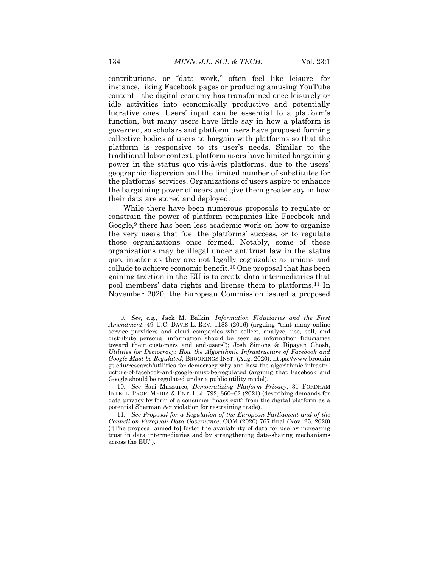contributions, or "data work," often feel like leisure—for instance, liking Facebook pages or producing amusing YouTube content—the digital economy has transformed once leisurely or idle activities into economically productive and potentially lucrative ones. Users' input can be essential to a platform's function, but many users have little say in how a platform is governed, so scholars and platform users have proposed forming collective bodies of users to bargain with platforms so that the platform is responsive to its user's needs. Similar to the traditional labor context, platform users have limited bargaining power in the status quo vis-à-vis platforms, due to the users' geographic dispersion and the limited number of substitutes for the platforms' services. Organizations of users aspire to enhance the bargaining power of users and give them greater say in how their data are stored and deployed.

While there have been numerous proposals to regulate or constrain the power of platform companies like Facebook and Google,<sup>9</sup> there has been less academic work on how to organize the very users that fuel the platforms' success, or to regulate those organizations once formed. Notably, some of these organizations may be illegal under antitrust law in the status quo, insofar as they are not legally cognizable as unions and collude to achieve economic benefit.<sup>10</sup> One proposal that has been gaining traction in the EU is to create data intermediaries that pool members' data rights and license them to platforms.<sup>11</sup> In November 2020, the European Commission issued a proposed

<sup>9</sup>*. See, e.g.*, Jack M. Balkin, *Information Fiduciaries and the First Amendment*, 49 U.C. DAVIS L. REV. 1183 (2016) (arguing "that many online service providers and cloud companies who collect, analyze, use, sell, and distribute personal information should be seen as information fiduciaries toward their customers and end-users"); Josh Simons & Dipayan Ghosh, *Utilities for Democracy: How the Algorithmic Infrastructure of Facebook and Google Must be Regulated*, BROOKINGS INST. (Aug. 2020), https://www.brookin gs.edu/research/utilities-for-democracy-why-and-how-the-algorithmic-infrastr ucture-of-facebook-and-google-must-be-regulated (arguing that Facebook and Google should be regulated under a public utility model).

<sup>10</sup>*. See* Sari Mazzurco, *Democratizing Platform Privacy*, 31 FORDHAM INTELL. PROP. MEDIA & ENT. L. J. 792, 860–62 (2021) (describing demands for data privacy by form of a consumer "mass exit" from the digital platform as a potential Sherman Act violation for restraining trade).

<sup>11</sup>*. See Proposal for a Regulation of the European Parliament and of the Council on European Data Governance*, COM (2020) 767 final (Nov. 25, 2020) ("[The proposal aimed to] foster the availability of data for use by increasing trust in data intermediaries and by strengthening data-sharing mechanisms across the EU.").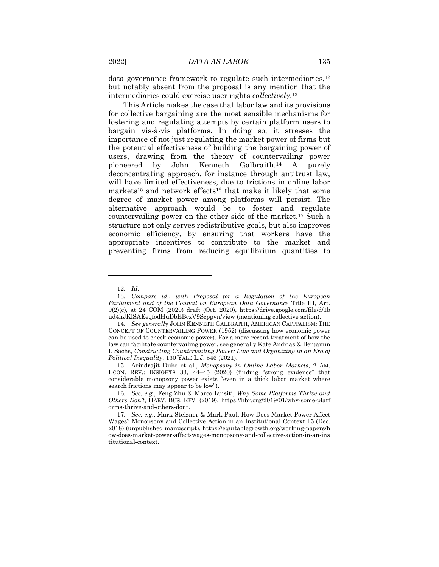data governance framework to regulate such intermediaries,<sup>12</sup> but notably absent from the proposal is any mention that the intermediaries could exercise user rights *collectively*. 13

This Article makes the case that labor law and its provisions for collective bargaining are the most sensible mechanisms for fostering and regulating attempts by certain platform users to bargain vis-à-vis platforms. In doing so, it stresses the importance of not just regulating the market power of firms but the potential effectiveness of building the bargaining power of users, drawing from the theory of countervailing power pioneered by John Kenneth Galbraith.<sup>14</sup> A purely deconcentrating approach, for instance through antitrust law, will have limited effectiveness, due to frictions in online labor markets<sup>15</sup> and network effects<sup>16</sup> that make it likely that some degree of market power among platforms will persist. The alternative approach would be to foster and regulate countervailing power on the other side of the market.<sup>17</sup> Such a structure not only serves redistributive goals, but also improves economic efficiency, by ensuring that workers have the appropriate incentives to contribute to the market and preventing firms from reducing equilibrium quantities to

<sup>12</sup>*. Id.*

<sup>13</sup>*. Compare id.*, *with Proposal for a Regulation of the European Parliament and of the Council on European Data Governance* Title III, Art.  $9(2)(c)$ , at 24 COM (2020) draft (Oct. 2020), https://drive.google.com/file/d/1b ud4hJKlSAEeqfodHuDbEBcxV9Scppvn/view (mentioning collective action).

<sup>14</sup>*. See generally* JOHN KENNETH GALBRAITH, AMERICAN CAPITALISM: THE CONCEPT OF COUNTERVAILING POWER (1952) (discussing how economic power can be used to check economic power). For a more recent treatment of how the law can facilitate countervailing power, see generally Kate Andrias & Benjamin I. Sachs, *Constructing Countervailing Power: Law and Organizing in an Era of Political Inequality*, 130 YALE L.J. 546 (2021).

<sup>15.</sup> Arindrajit Dube et al., *Monopsony in Online Labor Markets*, 2 AM. ECON. REV.: INSIGHTS 33, 44–45 (2020) (finding "strong evidence" that considerable monopsony power exists "even in a thick labor market where search frictions may appear to be low").

<sup>16</sup>*. See, e.g.*, Feng Zhu & Marco Iansiti, *Why Some Platforms Thrive and Others Don't*, HARV. BUS. REV. (2019), https://hbr.org/2019/01/why-some-platf orms-thrive-and-others-dont.

<sup>17</sup>*. See, e.g.*, Mark Stelzner & Mark Paul, How Does Market Power Affect Wages? Monopsony and Collective Action in an Institutional Context 15 (Dec. 2018) (unpublished manuscript), https://equitablegrowth.org/working-papers/h ow-does-market-power-affect-wages-monopsony-and-collective-action-in-an-ins titutional-context.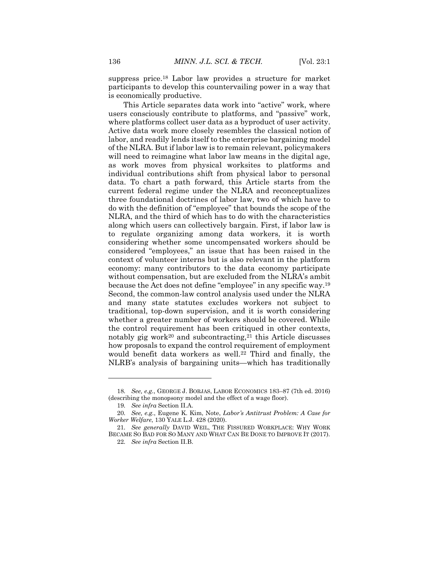suppress price.<sup>18</sup> Labor law provides a structure for market participants to develop this countervailing power in a way that is economically productive.

This Article separates data work into "active" work, where users consciously contribute to platforms, and "passive" work, where platforms collect user data as a byproduct of user activity. Active data work more closely resembles the classical notion of labor, and readily lends itself to the enterprise bargaining model of the NLRA. But if labor law is to remain relevant, policymakers will need to reimagine what labor law means in the digital age, as work moves from physical worksites to platforms and individual contributions shift from physical labor to personal data. To chart a path forward, this Article starts from the current federal regime under the NLRA and reconceptualizes three foundational doctrines of labor law, two of which have to do with the definition of "employee" that bounds the scope of the NLRA, and the third of which has to do with the characteristics along which users can collectively bargain. First, if labor law is to regulate organizing among data workers, it is worth considering whether some uncompensated workers should be considered "employees," an issue that has been raised in the context of volunteer interns but is also relevant in the platform economy: many contributors to the data economy participate without compensation, but are excluded from the NLRA's ambit because the Act does not define "employee" in any specific way.<sup>19</sup> Second, the common-law control analysis used under the NLRA and many state statutes excludes workers not subject to traditional, top-down supervision, and it is worth considering whether a greater number of workers should be covered. While the control requirement has been critiqued in other contexts, notably gig work<sup>20</sup> and subcontracting,<sup>21</sup> this Article discusses how proposals to expand the control requirement of employment would benefit data workers as well.<sup>22</sup> Third and finally, the NLRB's analysis of bargaining units—which has traditionally

<sup>18</sup>*. See, e.g.*, GEORGE J. BORJAS, LABOR ECONOMICS 183–87 (7th ed. 2016) (describing the monopsony model and the effect of a wage floor).

<sup>19</sup>*. See infra* Section II.A.

<sup>20</sup>*. See, e.g.*, Eugene K. Kim, Note, *Labor's Antitrust Problem: A Case for Worker Welfare*, 130 YALE L.J. 428 (2020).

<sup>21</sup>*. See generally* DAVID WEIL, THE FISSURED WORKPLACE: WHY WORK BECAME SO BAD FOR SO MANY AND WHAT CAN BE DONE TO IMPROVE IT (2017).

<sup>22</sup>*. See infra* Section II.B.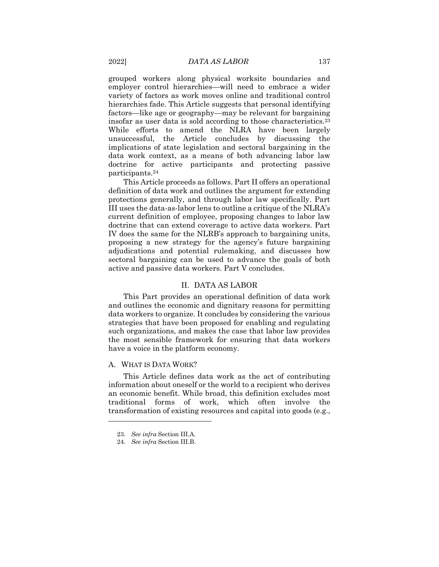grouped workers along physical worksite boundaries and employer control hierarchies—will need to embrace a wider variety of factors as work moves online and traditional control hierarchies fade. This Article suggests that personal identifying factors—like age or geography—may be relevant for bargaining insofar as user data is sold according to those characteristics.<sup>23</sup> While efforts to amend the NLRA have been largely unsuccessful, the Article concludes by discussing the implications of state legislation and sectoral bargaining in the data work context, as a means of both advancing labor law doctrine for active participants and protecting passive participants. 24

This Article proceeds as follows. Part II offers an operational definition of data work and outlines the argument for extending protections generally, and through labor law specifically. Part III uses the data-as-labor lens to outline a critique of the NLRA's current definition of employee, proposing changes to labor law doctrine that can extend coverage to active data workers. Part IV does the same for the NLRB's approach to bargaining units, proposing a new strategy for the agency's future bargaining adjudications and potential rulemaking, and discusses how sectoral bargaining can be used to advance the goals of both active and passive data workers. Part V concludes.

#### II. DATA AS LABOR

This Part provides an operational definition of data work and outlines the economic and dignitary reasons for permitting data workers to organize. It concludes by considering the various strategies that have been proposed for enabling and regulating such organizations, and makes the case that labor law provides the most sensible framework for ensuring that data workers have a voice in the platform economy.

#### A. WHAT IS DATA WORK?

This Article defines data work as the act of contributing information about oneself or the world to a recipient who derives an economic benefit. While broad, this definition excludes most traditional forms of work, which often involve the transformation of existing resources and capital into goods (e.g.,

<sup>23</sup>*. See infra* Section III.A.

<sup>24</sup>*. See infra* Section III.B.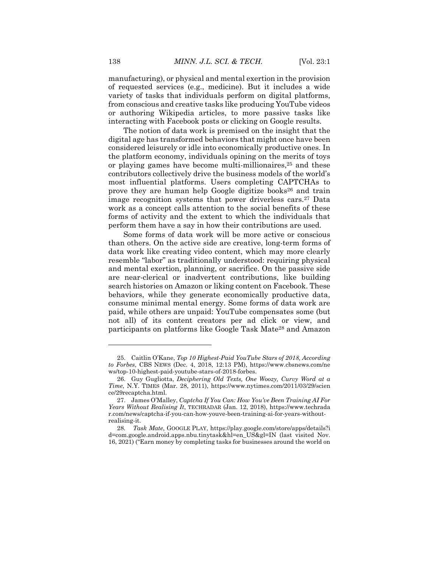manufacturing), or physical and mental exertion in the provision of requested services (e.g., medicine). But it includes a wide variety of tasks that individuals perform on digital platforms, from conscious and creative tasks like producing YouTube videos or authoring Wikipedia articles, to more passive tasks like interacting with Facebook posts or clicking on Google results.

The notion of data work is premised on the insight that the digital age has transformed behaviors that might once have been considered leisurely or idle into economically productive ones. In the platform economy, individuals opining on the merits of toys or playing games have become multi-millionaires,<sup>25</sup> and these contributors collectively drive the business models of the world's most influential platforms. Users completing CAPTCHAs to prove they are human help Google digitize books<sup>26</sup> and train image recognition systems that power driverless cars.<sup>27</sup> Data work as a concept calls attention to the social benefits of these forms of activity and the extent to which the individuals that perform them have a say in how their contributions are used.

Some forms of data work will be more active or conscious than others. On the active side are creative, long-term forms of data work like creating video content, which may more clearly resemble "labor" as traditionally understood: requiring physical and mental exertion, planning, or sacrifice. On the passive side are near-clerical or inadvertent contributions, like building search histories on Amazon or liking content on Facebook. These behaviors, while they generate economically productive data, consume minimal mental energy. Some forms of data work are paid, while others are unpaid: YouTube compensates some (but not all) of its content creators per ad click or view, and participants on platforms like Google Task Mate<sup>28</sup> and Amazon

<sup>25.</sup> Caitlin O'Kane, *Top 10 Highest-Paid YouTube Stars of 2018, According to Forbes*, CBS NEWS (Dec. 4, 2018, 12:13 PM), https://www.cbsnews.com/ne ws/top-10-highest-paid-youtube-stars-of-2018-forbes.

<sup>26.</sup> Guy Gugliotta, *Deciphering Old Texts, One Woozy, Curvy Word at a Time*, N.Y. TIMES (Mar. 28, 2011), https://www.nytimes.com/2011/03/29/scien ce/29recaptcha.html.

<sup>27.</sup> James O'Malley, *Captcha If You Can: How You've Been Training AI For Years Without Realising It*, TECHRADAR (Jan. 12, 2018), https://www.techrada r.com/news/captcha-if-you-can-how-youve-been-training-ai-for-years-withoutrealising-it.

<sup>28</sup>*. Task Mate*, GOOGLE PLAY, https://play.google.com/store/apps/details?i d=com.google.android.apps.nbu.tinytask&hl=en\_US&gl=IN (last visited Nov. 16, 2021) ("Earn money by completing tasks for businesses around the world on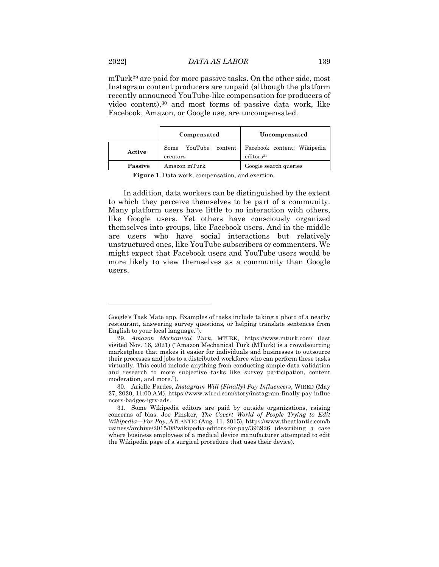mTurk<sup>29</sup> are paid for more passive tasks. On the other side, most Instagram content producers are unpaid (although the platform recently announced YouTube-like compensation for producers of video content),<sup>30</sup> and most forms of passive data work, like Facebook, Amazon, or Google use, are uncompensated.

| Compensated |                                          | Uncompensated                                        |  |
|-------------|------------------------------------------|------------------------------------------------------|--|
| Active      | YouTube<br>content  <br>Some<br>creators | Facebook content: Wikipedia<br>editors <sup>31</sup> |  |
| Passive     | Amazon mTurk                             | Google search queries                                |  |

**Figure 1**. Data work, compensation, and exertion.

In addition, data workers can be distinguished by the extent to which they perceive themselves to be part of a community. Many platform users have little to no interaction with others, like Google users. Yet others have consciously organized themselves into groups, like Facebook users. And in the middle are users who have social interactions but relatively unstructured ones, like YouTube subscribers or commenters. We might expect that Facebook users and YouTube users would be more likely to view themselves as a community than Google users.

Google's Task Mate app. Examples of tasks include taking a photo of a nearby restaurant, answering survey questions, or helping translate sentences from English to your local language.").

<sup>29</sup>*. Amazon Mechanical Turk*, MTURK, https://www.mturk.com/ (last visited Nov. 16, 2021) ("Amazon Mechanical Turk (MTurk) is a crowdsourcing marketplace that makes it easier for individuals and businesses to outsource their processes and jobs to a distributed workforce who can perform these tasks virtually. This could include anything from conducting simple data validation and research to more subjective tasks like survey participation, content moderation, and more.").

<sup>30.</sup> Arielle Pardes, *Instagram Will (Finally) Pay Influencers*, WIRED (May 27, 2020, 11:00 AM), https://www.wired.com/story/instagram-finally-pay-influe ncers-badges-igtv-ads.

<sup>31.</sup> Some Wikipedia editors are paid by outside organizations, raising concerns of bias. Joe Pinsker, *The Covert World of People Trying to Edit Wikipedia—For Pay*, ATLANTIC (Aug. 11, 2015), https://www.theatlantic.com/b usiness/archive/2015/08/wikipedia-editors-for-pay/393926 (describing a case where business employees of a medical device manufacturer attempted to edit the Wikipedia page of a surgical procedure that uses their device).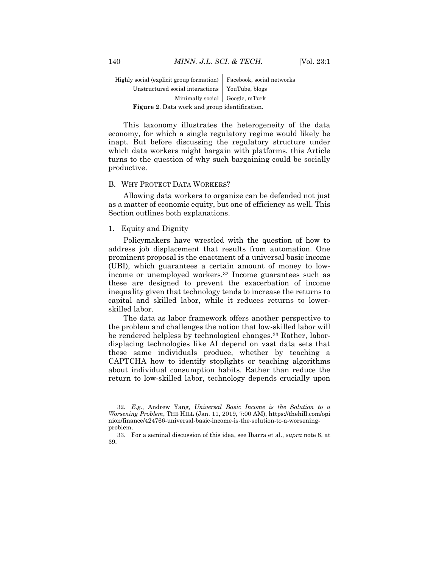Highly social (explicit group formation) Facebook, social networks Unstructured social interactions | YouTube, blogs Minimally social Google, mTurk **Figure 2**. Data work and group identification.

This taxonomy illustrates the heterogeneity of the data economy, for which a single regulatory regime would likely be inapt. But before discussing the regulatory structure under which data workers might bargain with platforms, this Article turns to the question of why such bargaining could be socially productive.

#### B. WHY PROTECT DATA WORKERS?

Allowing data workers to organize can be defended not just as a matter of economic equity, but one of efficiency as well. This Section outlines both explanations.

### 1. Equity and Dignity

Policymakers have wrestled with the question of how to address job displacement that results from automation. One prominent proposal is the enactment of a universal basic income (UBI), which guarantees a certain amount of money to lowincome or unemployed workers.<sup>32</sup> Income guarantees such as these are designed to prevent the exacerbation of income inequality given that technology tends to increase the returns to capital and skilled labor, while it reduces returns to lowerskilled labor.

The data as labor framework offers another perspective to the problem and challenges the notion that low-skilled labor will be rendered helpless by technological changes.<sup>33</sup> Rather, labordisplacing technologies like AI depend on vast data sets that these same individuals produce, whether by teaching a CAPTCHA how to identify stoplights or teaching algorithms about individual consumption habits. Rather than reduce the return to low-skilled labor, technology depends crucially upon

<sup>32</sup>*. E.g.*, Andrew Yang, *Universal Basic Income is the Solution to a Worsening Problem*, THE HILL (Jan. 11, 2019, 7:00 AM), https://thehill.com/opi nion/finance/424766-universal-basic-income-is-the-solution-to-a-worseningproblem.

<sup>33.</sup> For a seminal discussion of this idea, see Ibarra et al., *supra* note 8, at 39.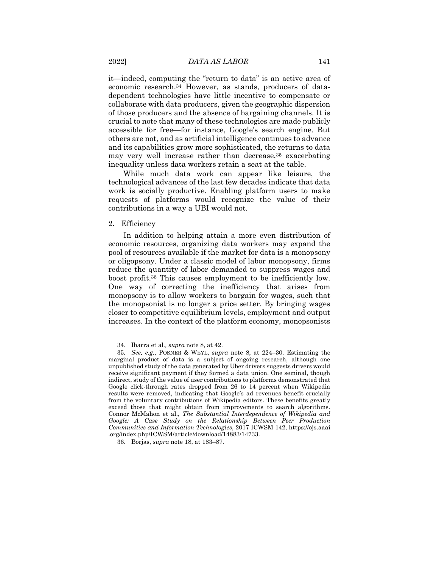it—indeed, computing the "return to data" is an active area of economic research.<sup>34</sup> However, as stands, producers of datadependent technologies have little incentive to compensate or collaborate with data producers, given the geographic dispersion of those producers and the absence of bargaining channels. It is crucial to note that many of these technologies are made publicly accessible for free—for instance, Google's search engine. But others are not, and as artificial intelligence continues to advance and its capabilities grow more sophisticated, the returns to data may very well increase rather than decrease,<sup>35</sup> exacerbating inequality unless data workers retain a seat at the table.

While much data work can appear like leisure, the technological advances of the last few decades indicate that data work is socially productive. Enabling platform users to make requests of platforms would recognize the value of their contributions in a way a UBI would not.

#### 2. Efficiency

 $\overline{a}$ 

In addition to helping attain a more even distribution of economic resources, organizing data workers may expand the pool of resources available if the market for data is a monopsony or oligopsony. Under a classic model of labor monopsony, firms reduce the quantity of labor demanded to suppress wages and boost profit.<sup>36</sup> This causes employment to be inefficiently low. One way of correcting the inefficiency that arises from monopsony is to allow workers to bargain for wages, such that the monopsonist is no longer a price setter. By bringing wages closer to competitive equilibrium levels, employment and output increases. In the context of the platform economy, monopsonists

<sup>34.</sup> Ibarra et al*., supra* note 8, at 42.

<sup>35</sup>*. See, e.g.*, POSNER & WEYL, *supra* note 8, at 224–30. Estimating the marginal product of data is a subject of ongoing research, although one unpublished study of the data generated by Uber drivers suggests drivers would receive significant payment if they formed a data union. One seminal, though indirect, study of the value of user contributions to platforms demonstrated that Google click-through rates dropped from 26 to 14 percent when Wikipedia results were removed, indicating that Google's ad revenues benefit crucially from the voluntary contributions of Wikipedia editors. These benefits greatly exceed those that might obtain from improvements to search algorithms. Connor McMahon et al., *The Substantial Interdependence of Wikipedia and Google: A Case Study on the Relationship Between Peer Production Communities and Information Technologies*, 2017 ICWSM 142, https://ojs.aaai .org/index.php/ICWSM/article/download/14883/14733.

<sup>36.</sup> Borjas, *supra* note 18, at 183–87.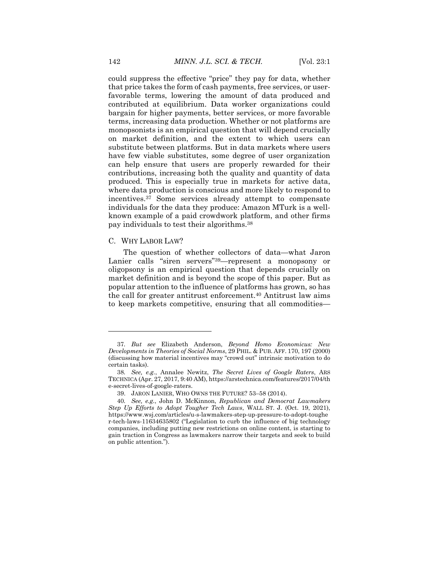could suppress the effective "price" they pay for data, whether that price takes the form of cash payments, free services, or userfavorable terms, lowering the amount of data produced and contributed at equilibrium. Data worker organizations could bargain for higher payments, better services, or more favorable terms, increasing data production. Whether or not platforms are monopsonists is an empirical question that will depend crucially on market definition, and the extent to which users can substitute between platforms. But in data markets where users have few viable substitutes, some degree of user organization can help ensure that users are properly rewarded for their contributions, increasing both the quality and quantity of data produced. This is especially true in markets for active data, where data production is conscious and more likely to respond to incentives.<sup>37</sup> Some services already attempt to compensate individuals for the data they produce: Amazon MTurk is a wellknown example of a paid crowdwork platform, and other firms pay individuals to test their algorithms.<sup>38</sup>

#### C. WHY LABOR LAW?

 $\overline{a}$ 

The question of whether collectors of data—what Jaron Lanier calls "siren servers"39—represent a monopsony or oligopsony is an empirical question that depends crucially on market definition and is beyond the scope of this paper. But as popular attention to the influence of platforms has grown, so has the call for greater antitrust enforcement.<sup>40</sup> Antitrust law aims to keep markets competitive, ensuring that all commodities—

<sup>37</sup>*. But see* Elizabeth Anderson, *Beyond Homo Economicus: New Developments in Theories of Social Norms*, 29 PHIL. & PUB. AFF. 170, 197 (2000) (discussing how material incentives may "crowd out" intrinsic motivation to do certain tasks).

<sup>38</sup>*. See, e.g.*, Annalee Newitz, *The Secret Lives of Google Raters*, ARS TECHNICA (Apr. 27, 2017, 9:40 AM), https://arstechnica.com/features/2017/04/th e-secret-lives-of-google-raters.

<sup>39.</sup> JARON LANIER, WHO OWNS THE FUTURE? 53–58 (2014).

<sup>40</sup>*. See, e.g.*, John D. McKinnon, *Republican and Democrat Lawmakers Step Up Efforts to Adopt Tougher Tech Laws*, WALL ST. J. (Oct. 19, 2021), https://www.wsj.com/articles/u-s-lawmakers-step-up-pressure-to-adopt-toughe r-tech-laws-11634635802 ("Legislation to curb the influence of big technology companies, including putting new restrictions on online content, is starting to gain traction in Congress as lawmakers narrow their targets and seek to build on public attention.").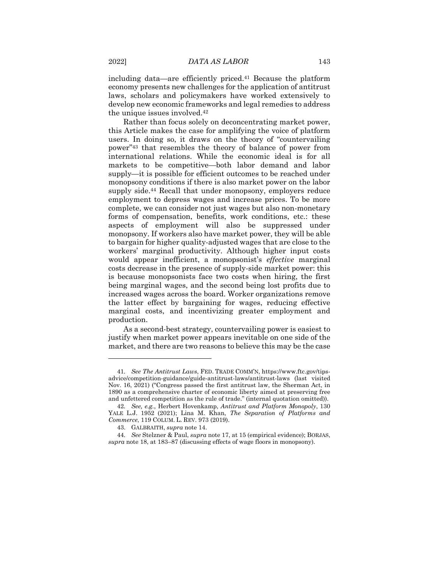including data—are efficiently priced.<sup>41</sup> Because the platform economy presents new challenges for the application of antitrust laws, scholars and policymakers have worked extensively to develop new economic frameworks and legal remedies to address the unique issues involved.<sup>42</sup>

Rather than focus solely on deconcentrating market power, this Article makes the case for amplifying the voice of platform users. In doing so, it draws on the theory of "countervailing power"<sup>43</sup> that resembles the theory of balance of power from international relations. While the economic ideal is for all markets to be competitive—both labor demand and labor supply—it is possible for efficient outcomes to be reached under monopsony conditions if there is also market power on the labor supply side.<sup>44</sup> Recall that under monopsony, employers reduce employment to depress wages and increase prices. To be more complete, we can consider not just wages but also non-monetary forms of compensation, benefits, work conditions, etc.: these aspects of employment will also be suppressed under monopsony. If workers also have market power, they will be able to bargain for higher quality-adjusted wages that are close to the workers' marginal productivity. Although higher input costs would appear inefficient, a monopsonist's *effective* marginal costs decrease in the presence of supply-side market power: this is because monopsonists face two costs when hiring, the first being marginal wages, and the second being lost profits due to increased wages across the board. Worker organizations remove the latter effect by bargaining for wages, reducing effective marginal costs, and incentivizing greater employment and production.

As a second-best strategy, countervailing power is easiest to justify when market power appears inevitable on one side of the market, and there are two reasons to believe this may be the case

<sup>41</sup>*. See The Antitrust Laws*, FED. TRADE COMM'N, https://www.ftc.gov/tipsadvice/competition-guidance/guide-antitrust-laws/antitrust-laws (last visited Nov. 16, 2021) ("Congress passed the first antitrust law, the Sherman Act, in 1890 as a comprehensive charter of economic liberty aimed at preserving free and unfettered competition as the rule of trade." (internal quotation omitted)).

<sup>42</sup>*. See, e.g.*, Herbert Hovenkamp, *Antitrust and Platform Monopoly*, 130 YALE L.J. 1952 (2021); Lina M. Khan, *The Separation of Platforms and Commerce*, 119 COLUM. L. REV. 973 (2019).

<sup>43.</sup> GALBRAITH, *supra* note 14.

<sup>44</sup>*. See* Stelzner & Paul, *supra* note 17, at 15 (empirical evidence); BORJAS, *supra* note 18, at 183–87 (discussing effects of wage floors in monopsony).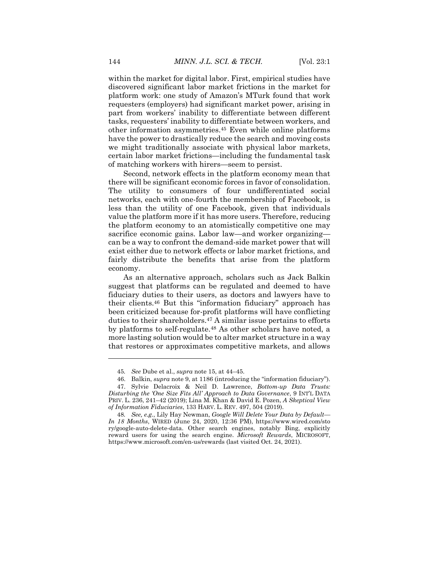within the market for digital labor. First, empirical studies have discovered significant labor market frictions in the market for platform work: one study of Amazon's MTurk found that work requesters (employers) had significant market power, arising in part from workers' inability to differentiate between different tasks, requesters' inability to differentiate between workers, and other information asymmetries.<sup>45</sup> Even while online platforms have the power to drastically reduce the search and moving costs we might traditionally associate with physical labor markets, certain labor market frictions—including the fundamental task of matching workers with hirers—seem to persist.

Second, network effects in the platform economy mean that there will be significant economic forces in favor of consolidation. The utility to consumers of four undifferentiated social networks, each with one-fourth the membership of Facebook, is less than the utility of one Facebook, given that individuals value the platform more if it has more users. Therefore, reducing the platform economy to an atomistically competitive one may sacrifice economic gains. Labor law—and worker organizing can be a way to confront the demand-side market power that will exist either due to network effects or labor market frictions, and fairly distribute the benefits that arise from the platform economy.

As an alternative approach, scholars such as Jack Balkin suggest that platforms can be regulated and deemed to have fiduciary duties to their users, as doctors and lawyers have to their clients.<sup>46</sup> But this "information fiduciary" approach has been criticized because for-profit platforms will have conflicting duties to their shareholders.<sup>47</sup> A similar issue pertains to efforts by platforms to self-regulate.<sup>48</sup> As other scholars have noted, a more lasting solution would be to alter market structure in a way that restores or approximates competitive markets, and allows

<sup>45</sup>*. See* Dube et al., *supra* note 15, at 44–45.

<sup>46.</sup> Balkin, *supra* note 9, at 1186 (introducing the "information fiduciary").

<sup>47.</sup> Sylvie Delacroix & Neil D. Lawrence, *Bottom-up Data Trusts: Disturbing the 'One Size Fits All' Approach to Data Governance*, 9 INT'L DATA PRIV. L. 236, 241–42 (2019); Lina M. Khan & David E. Pozen, *A Skeptical View of Information Fiduciaries*, 133 HARV. L. REV. 497, 504 (2019).

<sup>48</sup>*. See, e.g.*, Lily Hay Newman, *Google Will Delete Your Data by Default— In 18 Months*, WIRED (June 24, 2020, 12:36 PM), https://www.wired.com/sto ry/google-auto-delete-data. Other search engines, notably Bing, explicitly reward users for using the search engine. *Microsoft Rewards*, MICROSOFT, https://www.microsoft.com/en-us/rewards (last visited Oct. 24, 2021).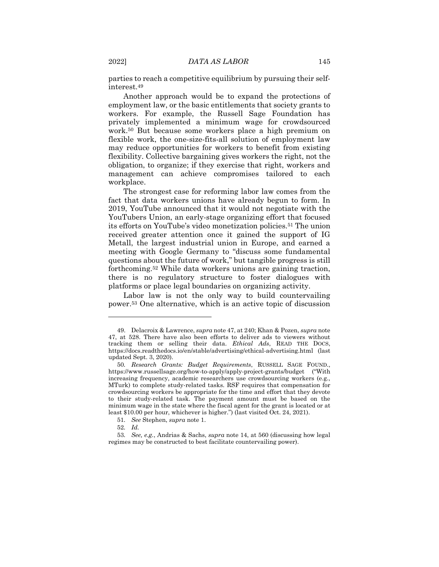parties to reach a competitive equilibrium by pursuing their selfinterest.<sup>49</sup>

Another approach would be to expand the protections of employment law, or the basic entitlements that society grants to workers. For example, the Russell Sage Foundation has privately implemented a minimum wage for crowdsourced work.<sup>50</sup> But because some workers place a high premium on flexible work, the one-size-fits-all solution of employment law may reduce opportunities for workers to benefit from existing flexibility. Collective bargaining gives workers the right, not the obligation, to organize; if they exercise that right, workers and management can achieve compromises tailored to each workplace.

The strongest case for reforming labor law comes from the fact that data workers unions have already begun to form. In 2019, YouTube announced that it would not negotiate with the YouTubers Union, an early-stage organizing effort that focused its efforts on YouTube's video monetization policies.<sup>51</sup> The union received greater attention once it gained the support of IG Metall, the largest industrial union in Europe, and earned a meeting with Google Germany to "discuss some fundamental questions about the future of work," but tangible progress is still forthcoming.<sup>52</sup> While data workers unions are gaining traction, there is no regulatory structure to foster dialogues with platforms or place legal boundaries on organizing activity.

Labor law is not the only way to build countervailing power.<sup>53</sup> One alternative, which is an active topic of discussion

52*. Id.*

<sup>49.</sup> Delacroix & Lawrence, *supra* note 47, at 240; Khan & Pozen, *supra* note 47, at 528. There have also been efforts to deliver ads to viewers without tracking them or selling their data. *Ethical Ads*, READ THE DOCS, https://docs.readthedocs.io/en/stable/advertising/ethical-advertising.html (last updated Sept. 3, 2020).

<sup>50</sup>*. Research Grants: Budget Requirements*, RUSSELL SAGE FOUND., https://www.russellsage.org/how-to-apply/apply-project-grants/budget ("With increasing frequency, academic researchers use crowdsourcing workers (e.g., MTurk) to complete study-related tasks. RSF requires that compensation for crowdsourcing workers be appropriate for the time and effort that they devote to their study-related task. The payment amount must be based on the minimum wage in the state where the fiscal agent for the grant is located or at least \$10.00 per hour, whichever is higher.") (last visited Oct. 24, 2021).

<sup>51</sup>*. See* Stephen, *supra* note 1.

<sup>53</sup>*. See, e.g.*, Andrias & Sachs, *supra* note 14, at 560 (discussing how legal regimes may be constructed to best facilitate countervailing power).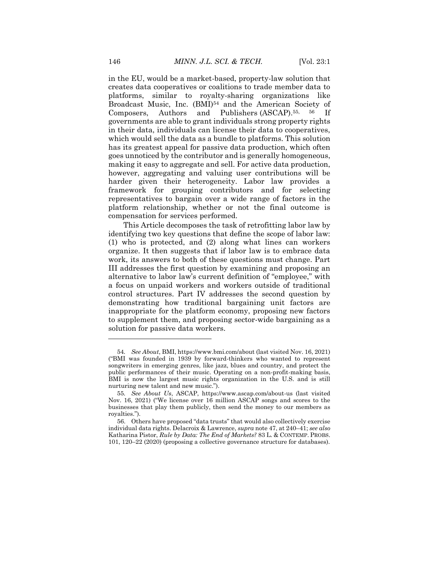in the EU, would be a market-based, property-law solution that creates data cooperatives or coalitions to trade member data to platforms, similar to royalty-sharing organizations like Broadcast Music, Inc. (BMI)<sup>54</sup> and the American Society of Composers, Authors and Publishers (ASCAP).55, 56 If governments are able to grant individuals strong property rights in their data, individuals can license their data to cooperatives, which would sell the data as a bundle to platforms. This solution has its greatest appeal for passive data production, which often goes unnoticed by the contributor and is generally homogeneous, making it easy to aggregate and sell. For active data production, however, aggregating and valuing user contributions will be harder given their heterogeneity. Labor law provides a framework for grouping contributors and for selecting representatives to bargain over a wide range of factors in the platform relationship, whether or not the final outcome is compensation for services performed.

This Article decomposes the task of retrofitting labor law by identifying two key questions that define the scope of labor law: (1) who is protected, and (2) along what lines can workers organize. It then suggests that if labor law is to embrace data work, its answers to both of these questions must change. Part III addresses the first question by examining and proposing an alternative to labor law's current definition of "employee," with a focus on unpaid workers and workers outside of traditional control structures. Part IV addresses the second question by demonstrating how traditional bargaining unit factors are inappropriate for the platform economy, proposing new factors to supplement them, and proposing sector-wide bargaining as a solution for passive data workers.

<sup>54</sup>*. See About*, BMI, https://www.bmi.com/about (last visited Nov. 16, 2021) ("BMI was founded in 1939 by forward-thinkers who wanted to represent songwriters in emerging genres, like jazz, blues and country, and protect the public performances of their music. Operating on a non-profit-making basis, BMI is now the largest music rights organization in the U.S. and is still nurturing new talent and new music.").

<sup>55</sup>*. See About Us*, ASCAP, https://www.ascap.com/about-us (last visited Nov. 16, 2021) ("We license over 16 million ASCAP songs and scores to the businesses that play them publicly, then send the money to our members as royalties.").

<sup>56.</sup> Others have proposed "data trusts" that would also collectively exercise individual data rights. Delacroix & Lawrence, *supra* note 47, at 240–41; *see also*  Katharina Pistor, *Rule by Data: The End of Markets?* 83 L. & CONTEMP. PROBS. 101, 120–22 (2020) (proposing a collective governance structure for databases).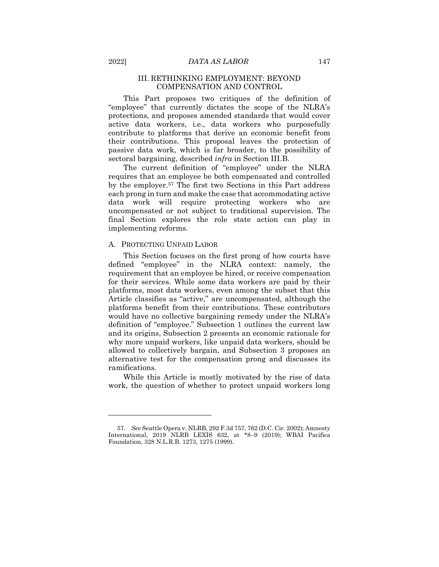#### III. RETHINKING EMPLOYMENT: BEYOND COMPENSATION AND CONTROL

This Part proposes two critiques of the definition of "employee" that currently dictates the scope of the NLRA's protections, and proposes amended standards that would cover active data workers, i.e., data workers who purposefully contribute to platforms that derive an economic benefit from their contributions. This proposal leaves the protection of passive data work, which is far broader, to the possibility of sectoral bargaining, described *infra* in Section III.B.

The current definition of "employee" under the NLRA requires that an employee be both compensated and controlled by the employer.<sup>57</sup> The first two Sections in this Part address each prong in turn and make the case that accommodating active data work will require protecting workers who are uncompensated or not subject to traditional supervision. The final Section explores the role state action can play in implementing reforms.

#### A. PROTECTING UNPAID LABOR

This Section focuses on the first prong of how courts have defined "employee" in the NLRA context: namely, the requirement that an employee be hired, or receive compensation for their services. While some data workers are paid by their platforms, most data workers, even among the subset that this Article classifies as "active," are uncompensated, although the platforms benefit from their contributions. These contributors would have no collective bargaining remedy under the NLRA's definition of "employee." Subsection 1 outlines the current law and its origins, Subsection 2 presents an economic rationale for why more unpaid workers, like unpaid data workers, should be allowed to collectively bargain, and Subsection 3 proposes an alternative test for the compensation prong and discusses its ramifications.

While this Article is mostly motivated by the rise of data work, the question of whether to protect unpaid workers long

<sup>57</sup>*. See* Seattle Opera v. NLRB, 292 F.3d 757, 762 (D.C. Cir. 2002); Amnesty International, 2019 NLRB LEXIS 632, at \*8–9 (2019); WBAI Pacifica Foundation, 328 N.L.R.B. 1273, 1275 (1999).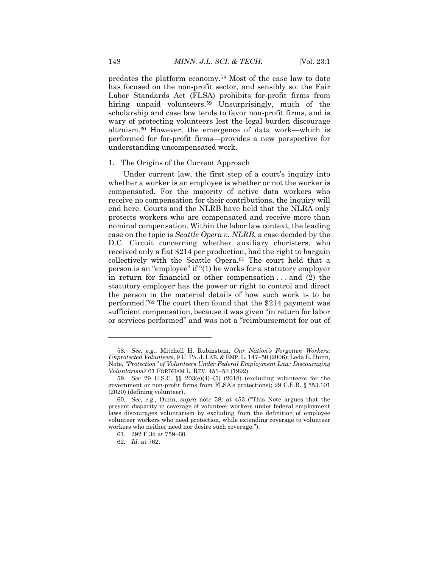predates the platform economy.<sup>58</sup> Most of the case law to date has focused on the non-profit sector, and sensibly so: the Fair Labor Standards Act (FLSA) prohibits for-profit firms from hiring unpaid volunteers.<sup>59</sup> Unsurprisingly, much of the scholarship and case law tends to favor non-profit firms, and is wary of protecting volunteers lest the legal burden discourage altruism.<sup>60</sup> However, the emergence of data work—which is performed for for-profit firms—provides a new perspective for understanding uncompensated work.

#### 1. The Origins of the Current Approach

Under current law, the first step of a court's inquiry into whether a worker is an employee is whether or not the worker is compensated. For the majority of active data workers who receive no compensation for their contributions, the inquiry will end here. Courts and the NLRB have held that the NLRA only protects workers who are compensated and receive more than nominal compensation. Within the labor law context, the leading case on the topic is *Seattle Opera v. NLRB*, a case decided by the D.C. Circuit concerning whether auxiliary choristers, who received only a flat \$214 per production, had the right to bargain collectively with the Seattle Opera.<sup>61</sup> The court held that a person is an "employee" if "(1) he works for a statutory employer in return for financial or other compensation . . . and (2) the statutory employer has the power or right to control and direct the person in the material details of how such work is to be performed."<sup>62</sup> The court then found that the \$214 payment was sufficient compensation, because it was given "in return for labor or services performed" and was not a "reimbursement for out of

<sup>58</sup>*. See, e.g.*, Mitchell H. Rubinstein, *Our Nation's Forgotten Workers: Unprotected Volunteers*, 9 U. PA. J. LAB. & EMP. L. 147–50 (2006); Leda E. Dunn, Note, *"Protection" of Volunteers Under Federal Employment Law: Discouraging Voluntarism?* 61 FORDHAM L. REV. 451–53 (1992).

<sup>59</sup>*. See* 29 U.S.C. §§ 203(e)(4)–(5) (2018) (excluding volunteers for the government or non-profit firms from FLSA's protections); 29 C.F.R. § 553.101 (2020) (defining volunteer).

<sup>60</sup>*. See, e.g.*, Dunn, *supra* note 58, at 453 ("This Note argues that the present disparity in coverage of volunteer workers under federal employment laws discourages voluntarism by excluding from the definition of employee volunteer workers who need protection, while extending coverage to volunteer workers who neither need nor desire such coverage.").

<sup>61.</sup> 292 F.3d at 759–60.

<sup>62</sup>*. Id.* at 762.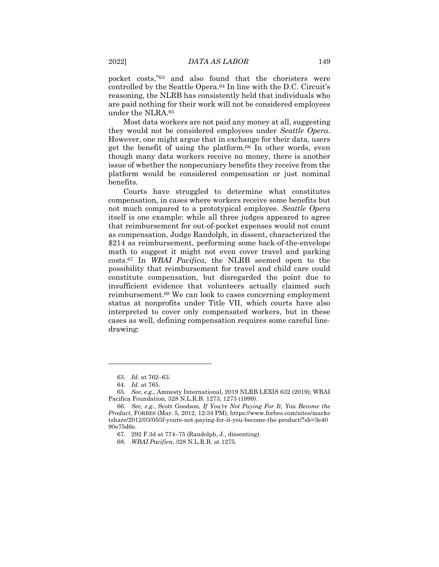pocket costs,"<sup>63</sup> and also found that the choristers were controlled by the Seattle Opera.<sup>64</sup> In line with the D.C. Circuit's reasoning, the NLRB has consistently held that individuals who are paid nothing for their work will not be considered employees under the NLRA.<sup>65</sup>

Most data workers are not paid any money at all, suggesting they would not be considered employees under *Seattle Opera*. However, one might argue that in exchange for their data, users get the benefit of using the platform.<sup>66</sup> In other words, even though many data workers receive no money, there is another issue of whether the nonpecuniary benefits they receive from the platform would be considered compensation or just nominal benefits.

Courts have struggled to determine what constitutes compensation, in cases where workers receive some benefits but not much compared to a prototypical employee. *Seattle Opera* itself is one example: while all three judges appeared to agree that reimbursement for out-of-pocket expenses would not count as compensation, Judge Randolph, in dissent, characterized the \$214 as reimbursement, performing some back-of-the-envelope math to suggest it might not even cover travel and parking costs.<sup>67</sup> In *WBAI Pacifica*, the NLRB seemed open to the possibility that reimbursement for travel and child care could constitute compensation, but disregarded the point due to insufficient evidence that volunteers actually claimed such reimbursement.<sup>68</sup> We can look to cases concerning employment status at nonprofits under Title VII, which courts have also interpreted to cover only compensated workers, but in these cases as well, defining compensation requires some careful linedrawing:

<sup>63</sup>*. Id.* at 762–63.

<sup>64</sup>*. Id.* at 765.

<sup>65</sup>*. See, e.g.*, Amnesty International, 2019 NLRB LEXIS 632 (2019); WBAI Pacifica Foundation, 328 N.L.R.B. 1273, 1273 (1999).

<sup>66</sup>*. See, e.g.*, Scott Goodson, *If You're Not Paying For It, You Become the Product*, FORBES (Mar. 5, 2012, 12:34 PM), https://www.forbes.com/sites/marke tshare/2012/03/05/if-youre-not-paying-for-it-you-become-the-product/?sh=3e40 90e75d6e.

<sup>67.</sup> 292 F.3d at 774–75 (Randolph, J., dissenting).

<sup>68</sup>*. WBAI Pacifica*, 328 N.L.R.B. at 1275.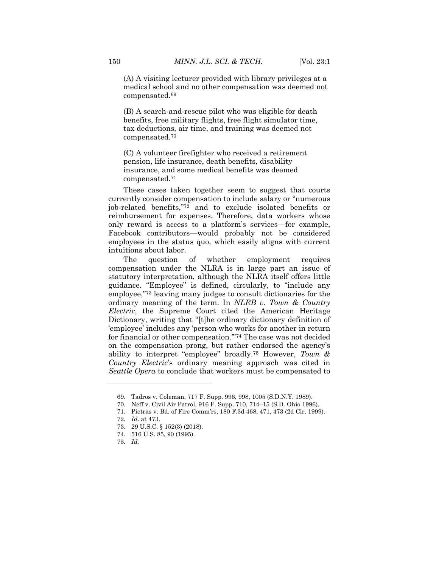(A) A visiting lecturer provided with library privileges at a medical school and no other compensation was deemed not compensated.<sup>69</sup>

(B) A search-and-rescue pilot who was eligible for death benefits, free military flights, free flight simulator time, tax deductions, air time, and training was deemed not compensated.<sup>70</sup>

(C) A volunteer firefighter who received a retirement pension, life insurance, death benefits, disability insurance, and some medical benefits was deemed compensated.<sup>71</sup>

These cases taken together seem to suggest that courts currently consider compensation to include salary or "numerous job-related benefits,"<sup>72</sup> and to exclude isolated benefits or reimbursement for expenses. Therefore, data workers whose only reward is access to a platform's services—for example, Facebook contributors—would probably not be considered employees in the status quo, which easily aligns with current intuitions about labor.

The question of whether employment requires compensation under the NLRA is in large part an issue of statutory interpretation, although the NLRA itself offers little guidance. "Employee" is defined, circularly, to "include any employee,"<sup>73</sup> leaving many judges to consult dictionaries for the ordinary meaning of the term. In *NLRB v. Town & Country Electric*, the Supreme Court cited the American Heritage Dictionary, writing that "[t]he ordinary dictionary definition of 'employee' includes any 'person who works for another in return for financial or other compensation.'"<sup>74</sup> The case was not decided on the compensation prong, but rather endorsed the agency's ability to interpret "employee" broadly.<sup>75</sup> However, *Town & Country Electric*'s ordinary meaning approach was cited in *Seattle Opera* to conclude that workers must be compensated to

<sup>69.</sup> Tadros v. Coleman, 717 F. Supp. 996, 998, 1005 (S.D.N.Y. 1989).

<sup>70.</sup> Neff v. Civil Air Patrol, 916 F. Supp. 710, 714–15 (S.D. Ohio 1996).

<sup>71.</sup> Pietras v. Bd. of Fire Comm'rs, 180 F.3d 468, 471, 473 (2d Cir. 1999).

<sup>72</sup>*. Id*. at 473.

<sup>73.</sup> 29 U.S.C. § 152(3) (2018).

<sup>74.</sup> 516 U.S. 85, 90 (1995).

<sup>75</sup>*. Id.*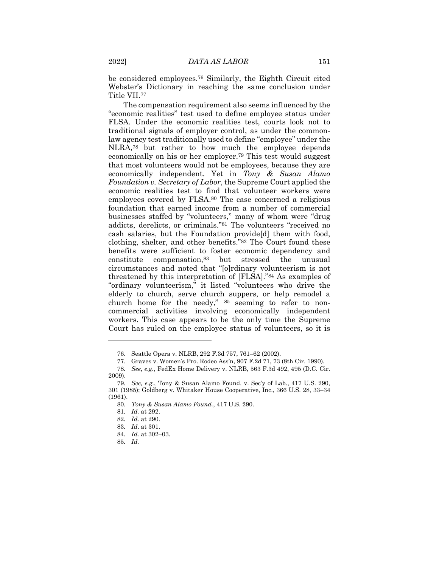be considered employees.<sup>76</sup> Similarly, the Eighth Circuit cited Webster's Dictionary in reaching the same conclusion under Title VII.<sup>77</sup>

The compensation requirement also seems influenced by the "economic realities" test used to define employee status under FLSA. Under the economic realities test, courts look not to traditional signals of employer control, as under the commonlaw agency test traditionally used to define "employee" under the NLRA,<sup>78</sup> but rather to how much the employee depends economically on his or her employer.<sup>79</sup> This test would suggest that most volunteers would not be employees, because they are economically independent. Yet in *Tony & Susan Alamo Foundation v. Secretary of Labor*, the Supreme Court applied the economic realities test to find that volunteer workers were employees covered by FLSA.<sup>80</sup> The case concerned a religious foundation that earned income from a number of commercial businesses staffed by "volunteers," many of whom were "drug addicts, derelicts, or criminals."<sup>81</sup> The volunteers "received no cash salaries, but the Foundation provide[d] them with food, clothing, shelter, and other benefits."<sup>82</sup> The Court found these benefits were sufficient to foster economic dependency and constitute compensation,<sup>83</sup> but stressed the unusual circumstances and noted that "[o]rdinary volunteerism is not threatened by this interpretation of [FLSA]."<sup>84</sup> As examples of "ordinary volunteerism," it listed "volunteers who drive the elderly to church, serve church suppers, or help remodel a church home for the needy," <sup>85</sup> seeming to refer to noncommercial activities involving economically independent workers. This case appears to be the only time the Supreme Court has ruled on the employee status of volunteers, so it is

<sup>76.</sup> Seattle Opera v. NLRB, 292 F.3d 757, 761–62 (2002).

<sup>77.</sup> Graves v. Women's Pro. Rodeo Ass'n, 907 F.2d 71, 73 (8th Cir. 1990).

<sup>78</sup>*. See, e.g.*, FedEx Home Delivery v. NLRB, 563 F.3d 492, 495 (D.C. Cir. 2009).

<sup>79</sup>*. See, e.g.*, Tony & Susan Alamo Found. v. Sec'y of Lab., 417 U.S. 290, 301 (1985); Goldberg v. Whitaker House Cooperative, Inc., 366 U.S. 28, 33–34 (1961).

<sup>80</sup>*. Tony & Susan Alamo Found.*, 417 U.S. 290.

<sup>81</sup>*. Id.* at 292.

<sup>82</sup>*. Id.* at 290.

<sup>83</sup>*. Id*. at 301.

<sup>84</sup>*. Id.* at 302–03.

<sup>85</sup>*. Id.*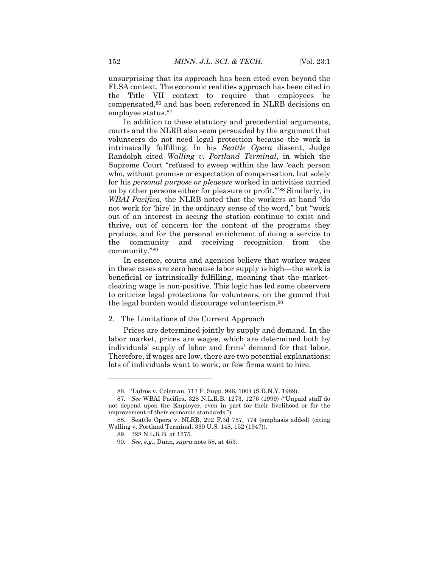unsurprising that its approach has been cited even beyond the FLSA context. The economic realities approach has been cited in the Title VII context to require that employees be compensated,<sup>86</sup> and has been referenced in NLRB decisions on employee status.<sup>87</sup>

In addition to these statutory and precedential arguments, courts and the NLRB also seem persuaded by the argument that volunteers do not need legal protection because the work is intrinsically fulfilling. In his *Seattle Opera* dissent, Judge Randolph cited *Walling v. Portland Terminal*, in which the Supreme Court "refused to sweep within the law 'each person who, without promise or expectation of compensation, but solely for his *personal purpose or pleasure* worked in activities carried on by other persons either for pleasure or profit.'"<sup>88</sup> Similarly, in *WBAI Pacifica*, the NLRB noted that the workers at hand "do not work for 'hire' in the ordinary sense of the word," but "work out of an interest in seeing the station continue to exist and thrive, out of concern for the content of the programs they produce, and for the personal enrichment of doing a service to the community and receiving recognition from the community."<sup>89</sup>

In essence, courts and agencies believe that worker wages in these cases are zero because labor supply is high—the work is beneficial or intrinsically fulfilling, meaning that the marketclearing wage is non-positive. This logic has led some observers to criticize legal protections for volunteers, on the ground that the legal burden would discourage volunteerism.<sup>90</sup>

#### 2. The Limitations of the Current Approach

Prices are determined jointly by supply and demand. In the labor market, prices are wages, which are determined both by individuals' supply of labor and firms' demand for that labor. Therefore, if wages are low, there are two potential explanations: lots of individuals want to work, or few firms want to hire.

<sup>86.</sup> Tadros v. Coleman, 717 F. Supp. 996, 1004 (S.D.N.Y. 1989).

<sup>87</sup>*. See* WBAI Pacifica, 328 N.L.R.B. 1273, 1276 (1999) ("Unpaid staff do not depend upon the Employer, even in part for their livelihood or for the improvement of their economic standards.").

<sup>88.</sup> Seattle Opera v. NLRB, 292 F.3d 757, 774 (emphasis added) (citing Walling v. Portland Terminal, 330 U.S. 148, 152 (1947)).

<sup>89.</sup> 328 N.L.R.B. at 1275.

<sup>90</sup>*. See, e.g.*, Dunn, *supra* note 58, at 453.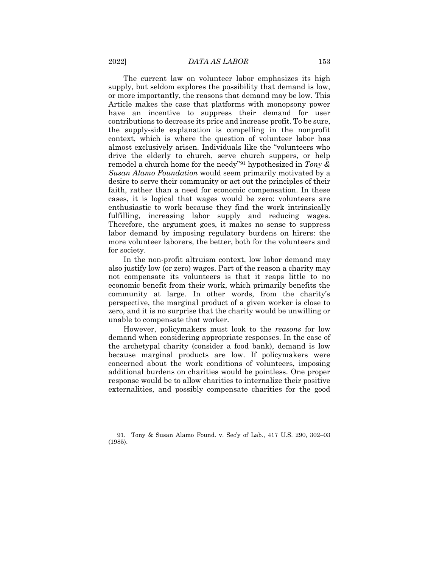The current law on volunteer labor emphasizes its high supply, but seldom explores the possibility that demand is low, or more importantly, the reasons that demand may be low. This Article makes the case that platforms with monopsony power have an incentive to suppress their demand for user contributions to decrease its price and increase profit. To be sure, the supply-side explanation is compelling in the nonprofit context, which is where the question of volunteer labor has almost exclusively arisen. Individuals like the "volunteers who drive the elderly to church, serve church suppers, or help remodel a church home for the needy"<sup>91</sup> hypothesized in *Tony & Susan Alamo Foundation* would seem primarily motivated by a desire to serve their community or act out the principles of their faith, rather than a need for economic compensation. In these cases, it is logical that wages would be zero: volunteers are enthusiastic to work because they find the work intrinsically fulfilling, increasing labor supply and reducing wages. Therefore, the argument goes, it makes no sense to suppress labor demand by imposing regulatory burdens on hirers: the more volunteer laborers, the better, both for the volunteers and for society.

In the non-profit altruism context, low labor demand may also justify low (or zero) wages. Part of the reason a charity may not compensate its volunteers is that it reaps little to no economic benefit from their work, which primarily benefits the community at large. In other words, from the charity's perspective, the marginal product of a given worker is close to zero, and it is no surprise that the charity would be unwilling or unable to compensate that worker.

However, policymakers must look to the *reasons* for low demand when considering appropriate responses. In the case of the archetypal charity (consider a food bank), demand is low because marginal products are low. If policymakers were concerned about the work conditions of volunteers, imposing additional burdens on charities would be pointless. One proper response would be to allow charities to internalize their positive externalities, and possibly compensate charities for the good

<sup>91.</sup> Tony & Susan Alamo Found. v. Sec'y of Lab., 417 U.S. 290, 302–03 (1985).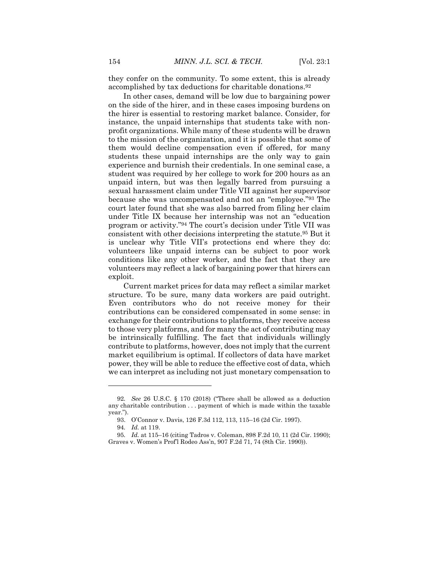they confer on the community. To some extent, this is already accomplished by tax deductions for charitable donations.<sup>92</sup>

In other cases, demand will be low due to bargaining power on the side of the hirer, and in these cases imposing burdens on the hirer is essential to restoring market balance. Consider, for instance, the unpaid internships that students take with nonprofit organizations. While many of these students will be drawn to the mission of the organization, and it is possible that some of them would decline compensation even if offered, for many students these unpaid internships are the only way to gain experience and burnish their credentials. In one seminal case, a student was required by her college to work for 200 hours as an unpaid intern, but was then legally barred from pursuing a sexual harassment claim under Title VII against her supervisor because she was uncompensated and not an "employee."<sup>93</sup> The court later found that she was also barred from filing her claim under Title IX because her internship was not an "education program or activity."<sup>94</sup> The court's decision under Title VII was consistent with other decisions interpreting the statute.<sup>95</sup> But it is unclear why Title VII's protections end where they do: volunteers like unpaid interns can be subject to poor work conditions like any other worker, and the fact that they are volunteers may reflect a lack of bargaining power that hirers can exploit.

Current market prices for data may reflect a similar market structure. To be sure, many data workers are paid outright. Even contributors who do not receive money for their contributions can be considered compensated in some sense: in exchange for their contributions to platforms, they receive access to those very platforms, and for many the act of contributing may be intrinsically fulfilling. The fact that individuals willingly contribute to platforms, however, does not imply that the current market equilibrium is optimal. If collectors of data have market power, they will be able to reduce the effective cost of data, which we can interpret as including not just monetary compensation to

<sup>92</sup>*. See* 26 U.S.C. § 170 (2018) ("There shall be allowed as a deduction any charitable contribution . . . payment of which is made within the taxable year.").

<sup>93.</sup> O'Connor v. Davis, 126 F.3d 112, 113, 115–16 (2d Cir. 1997).

<sup>94</sup>*. Id.* at 119.

<sup>95</sup>*. Id.* at 115–16 (citing Tadros v. Coleman, 898 F.2d 10, 11 (2d Cir. 1990); Graves v. Women's Prof'l Rodeo Ass'n, 907 F.2d 71, 74 (8th Cir. 1990)).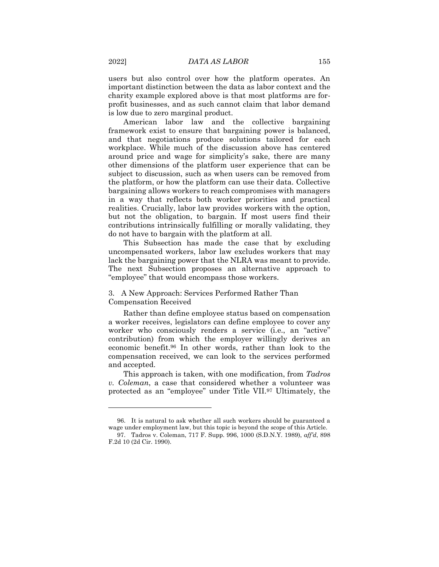users but also control over how the platform operates. An important distinction between the data as labor context and the charity example explored above is that most platforms are forprofit businesses, and as such cannot claim that labor demand is low due to zero marginal product.

American labor law and the collective bargaining framework exist to ensure that bargaining power is balanced, and that negotiations produce solutions tailored for each workplace. While much of the discussion above has centered around price and wage for simplicity's sake, there are many other dimensions of the platform user experience that can be subject to discussion, such as when users can be removed from the platform, or how the platform can use their data. Collective bargaining allows workers to reach compromises with managers in a way that reflects both worker priorities and practical realities. Crucially, labor law provides workers with the option, but not the obligation, to bargain. If most users find their contributions intrinsically fulfilling or morally validating, they do not have to bargain with the platform at all.

This Subsection has made the case that by excluding uncompensated workers, labor law excludes workers that may lack the bargaining power that the NLRA was meant to provide. The next Subsection proposes an alternative approach to "employee" that would encompass those workers.

## 3. A New Approach: Services Performed Rather Than Compensation Received

Rather than define employee status based on compensation a worker receives, legislators can define employee to cover any worker who consciously renders a service (i.e., an "active" contribution) from which the employer willingly derives an economic benefit.<sup>96</sup> In other words, rather than look to the compensation received, we can look to the services performed and accepted.

This approach is taken, with one modification, from *Tadros v. Coleman*, a case that considered whether a volunteer was protected as an "employee" under Title VII.<sup>97</sup> Ultimately, the

<sup>96.</sup> It is natural to ask whether all such workers should be guaranteed a wage under employment law, but this topic is beyond the scope of this Article.

<sup>97.</sup> Tadros v. Coleman, 717 F. Supp. 996, 1000 (S.D.N.Y. 1989), *aff'd*, 898 F.2d 10 (2d Cir. 1990).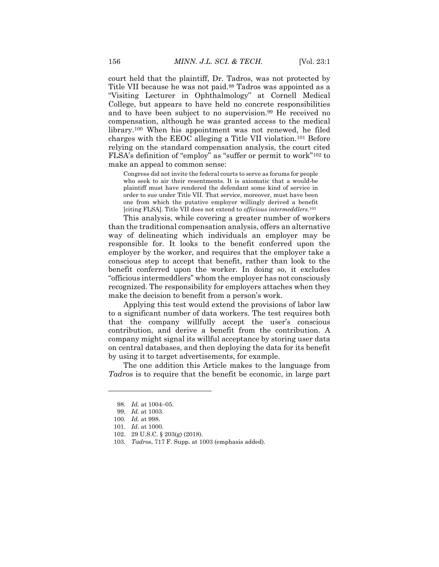court held that the plaintiff, Dr. Tadros, was not protected by Title VII because he was not paid.<sup>98</sup> Tadros was appointed as a "Visiting Lecturer in Ophthalmology" at Cornell Medical College, but appears to have held no concrete responsibilities and to have been subject to no supervision.<sup>99</sup> He received no compensation, although he was granted access to the medical library.<sup>100</sup> When his appointment was not renewed, he filed charges with the EEOC alleging a Title VII violation.<sup>101</sup> Before relying on the standard compensation analysis, the court cited FLSA's definition of "employ" as "suffer or permit to work"<sup>102</sup> to make an appeal to common sense:

Congress did not invite the federal courts to serve as forums for people who seek to air their resentments. It is axiomatic that a would-be plaintiff must have rendered the defendant some kind of service in order to sue under Title VII. That service, moreover, must have been one from which the putative employer willingly derived a benefit [citing FLSA]. Title VII does not extend to *officious intermeddlers*. 103

This analysis, while covering a greater number of workers than the traditional compensation analysis, offers an alternative way of delineating which individuals an employer may be responsible for. It looks to the benefit conferred upon the employer by the worker, and requires that the employer take a conscious step to accept that benefit, rather than look to the benefit conferred upon the worker. In doing so, it excludes "officious intermeddlers" whom the employer has not consciously recognized. The responsibility for employers attaches when they make the decision to benefit from a person's work.

Applying this test would extend the provisions of labor law to a significant number of data workers. The test requires both that the company willfully accept the user's conscious contribution, and derive a benefit from the contribution. A company might signal its willful acceptance by storing user data on central databases, and then deploying the data for its benefit by using it to target advertisements, for example.

The one addition this Article makes to the language from *Tadros* is to require that the benefit be economic, in large part

<sup>98</sup>*. Id.* at 1004–05.

<sup>99</sup>*. Id.* at 1003.

<sup>100</sup>*. Id.* at 998.

<sup>101</sup>*. Id.* at 1000.

<sup>102.</sup> 29 U.S.C. § 203(g) (2018).

<sup>103</sup>*. Tadros*, 717 F. Supp. at 1003 (emphasis added).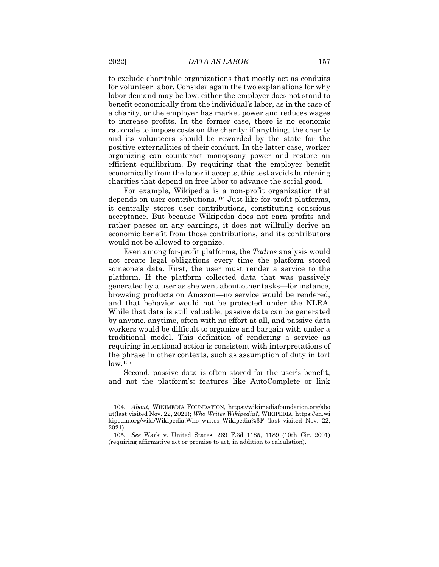to exclude charitable organizations that mostly act as conduits for volunteer labor. Consider again the two explanations for why labor demand may be low: either the employer does not stand to benefit economically from the individual's labor, as in the case of a charity, or the employer has market power and reduces wages to increase profits. In the former case, there is no economic rationale to impose costs on the charity: if anything, the charity and its volunteers should be rewarded by the state for the positive externalities of their conduct. In the latter case, worker organizing can counteract monopsony power and restore an efficient equilibrium. By requiring that the employer benefit economically from the labor it accepts, this test avoids burdening charities that depend on free labor to advance the social good.

For example, Wikipedia is a non-profit organization that depends on user contributions.<sup>104</sup> Just like for-profit platforms, it centrally stores user contributions, constituting conscious acceptance. But because Wikipedia does not earn profits and rather passes on any earnings, it does not willfully derive an economic benefit from those contributions, and its contributors would not be allowed to organize.

Even among for-profit platforms, the *Tadros* analysis would not create legal obligations every time the platform stored someone's data. First, the user must render a service to the platform. If the platform collected data that was passively generated by a user as she went about other tasks—for instance, browsing products on Amazon—no service would be rendered, and that behavior would not be protected under the NLRA. While that data is still valuable, passive data can be generated by anyone, anytime, often with no effort at all, and passive data workers would be difficult to organize and bargain with under a traditional model. This definition of rendering a service as requiring intentional action is consistent with interpretations of the phrase in other contexts, such as assumption of duty in tort law.<sup>105</sup>

Second, passive data is often stored for the user's benefit, and not the platform's: features like AutoComplete or link

<sup>104</sup>*. About*, WIKIMEDIA FOUNDATION, https://wikimediafoundation.org/abo ut(last visited Nov. 22, 2021); *Who Writes Wikipedia?*, WIKIPEDIA, https://en.wi kipedia.org/wiki/Wikipedia:Who\_writes\_Wikipedia%3F (last visited Nov. 22, 2021).

<sup>105</sup>*. See* Wark v. United States, 269 F.3d 1185, 1189 (10th Cir. 2001) (requiring affirmative act or promise to act, in addition to calculation).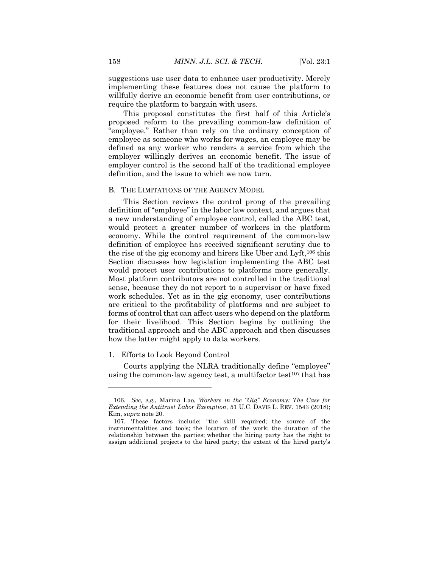suggestions use user data to enhance user productivity. Merely implementing these features does not cause the platform to willfully derive an economic benefit from user contributions, or require the platform to bargain with users.

This proposal constitutes the first half of this Article's proposed reform to the prevailing common-law definition of "employee." Rather than rely on the ordinary conception of employee as someone who works for wages, an employee may be defined as any worker who renders a service from which the employer willingly derives an economic benefit. The issue of employer control is the second half of the traditional employee definition, and the issue to which we now turn.

#### B. THE LIMITATIONS OF THE AGENCY MODEL

This Section reviews the control prong of the prevailing definition of "employee" in the labor law context, and argues that a new understanding of employee control, called the ABC test, would protect a greater number of workers in the platform economy. While the control requirement of the common-law definition of employee has received significant scrutiny due to the rise of the gig economy and hirers like Uber and Lyft,<sup>106</sup> this Section discusses how legislation implementing the ABC test would protect user contributions to platforms more generally. Most platform contributors are not controlled in the traditional sense, because they do not report to a supervisor or have fixed work schedules. Yet as in the gig economy, user contributions are critical to the profitability of platforms and are subject to forms of control that can affect users who depend on the platform for their livelihood. This Section begins by outlining the traditional approach and the ABC approach and then discusses how the latter might apply to data workers.

#### 1. Efforts to Look Beyond Control

 $\overline{a}$ 

Courts applying the NLRA traditionally define "employee" using the common-law agency test, a multifactor test<sup>107</sup> that has

<sup>106</sup>*. See, e.g.*, Marina Lao, *Workers in the "Gig" Economy: The Case for Extending the Antitrust Labor Exemption*, 51 U.C. DAVIS L. REV. 1543 (2018); Kim, *supra* note 20.

<sup>107.</sup> These factors include: "the skill required; the source of the instrumentalities and tools; the location of the work; the duration of the relationship between the parties; whether the hiring party has the right to assign additional projects to the hired party; the extent of the hired party's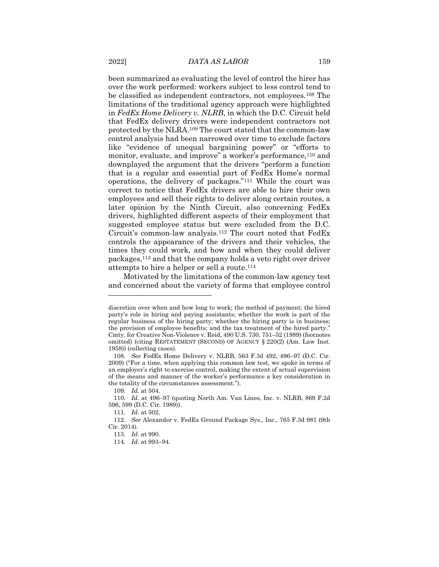been summarized as evaluating the level of control the hirer has over the work performed: workers subject to less control tend to be classified as independent contractors, not employees.<sup>108</sup> The limitations of the traditional agency approach were highlighted in *FedEx Home Delivery v. NLRB*, in which the D.C. Circuit held that FedEx delivery drivers were independent contractors not protected by the NLRA.<sup>109</sup> The court stated that the common-law control analysis had been narrowed over time to exclude factors like "evidence of unequal bargaining power" or "efforts to monitor, evaluate, and improve" a worker's performance,<sup>110</sup> and downplayed the argument that the drivers "perform a function that is a regular and essential part of FedEx Home's normal operations, the delivery of packages."<sup>111</sup> While the court was correct to notice that FedEx drivers are able to hire their own employees and sell their rights to deliver along certain routes, a later opinion by the Ninth Circuit, also concerning FedEx drivers, highlighted different aspects of their employment that suggested employee status but were excluded from the D.C. Circuit's common-law analysis.<sup>112</sup> The court noted that FedEx controls the appearance of the drivers and their vehicles, the times they could work, and how and when they could deliver packages,<sup>113</sup> and that the company holds a veto right over driver attempts to hire a helper or sell a route.<sup>114</sup>

Motivated by the limitations of the common-law agency test and concerned about the variety of forms that employee control

discretion over when and how long to work; the method of payment; the hired party's role in hiring and paying assistants; whether the work is part of the regular business of the hiring party; whether the hiring party is in business; the provision of employee benefits; and the tax treatment of the hired party." Cmty. for Creative Non-Violence v. Reid, 490 U.S. 730, 751–52 (1989) (footnotes omitted) (citing RESTATEMENT (SECOND) OF AGENCY § 220(2) (Am. Law Inst. 1958)) (collecting cases).

<sup>108</sup>*. See* FedEx Home Delivery v. NLRB, 563 F.3d 492, 496–97 (D.C. Cir. 2009) ("For a time, when applying this common law test, we spoke in terms of an employer's right to exercise control, making the extent of actual supervision of the means and manner of the worker's performance a key consideration in the totality of the circumstances assessment.").

<sup>109</sup>*. Id.* at 504.

<sup>110</sup>*. Id.* at 496–97 (quoting North Am. Van Lines, Inc. v. NLRB, 869 F.2d 596, 599 (D.C. Cir. 1989)).

<sup>111</sup>*. Id.* at 502.

<sup>112</sup>*. See* Alexander v. FedEx Ground Package Sys., Inc., 765 F.3d 981 (9th Cir. 2014).

<sup>113</sup>*. Id.* at 990.

<sup>114</sup>*. Id.* at 993–94.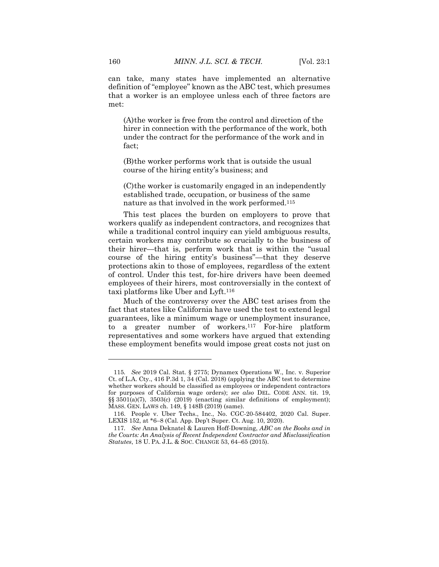can take, many states have implemented an alternative definition of "employee" known as the ABC test, which presumes that a worker is an employee unless each of three factors are met:

(A)the worker is free from the control and direction of the hirer in connection with the performance of the work, both under the contract for the performance of the work and in fact;

(B)the worker performs work that is outside the usual course of the hiring entity's business; and

(C)the worker is customarily engaged in an independently established trade, occupation, or business of the same nature as that involved in the work performed.<sup>115</sup>

This test places the burden on employers to prove that workers qualify as independent contractors, and recognizes that while a traditional control inquiry can yield ambiguous results, certain workers may contribute so crucially to the business of their hirer—that is, perform work that is within the "usual course of the hiring entity's business"—that they deserve protections akin to those of employees, regardless of the extent of control. Under this test, for-hire drivers have been deemed employees of their hirers, most controversially in the context of taxi platforms like Uber and Lyft.<sup>116</sup>

Much of the controversy over the ABC test arises from the fact that states like California have used the test to extend legal guarantees, like a minimum wage or unemployment insurance, to a greater number of workers.<sup>117</sup> For-hire platform representatives and some workers have argued that extending these employment benefits would impose great costs not just on

<sup>115</sup>*. See* 2019 Cal. Stat. § 2775; Dynamex Operations W., Inc. v. Superior Ct. of L.A. Cty., 416 P.3d 1, 34 (Cal. 2018) (applying the ABC test to determine whether workers should be classified as employees or independent contractors for purposes of California wage orders); *see also* DEL. CODE ANN. tit. 19, §§ 3501(a)(7), 3503(c) (2019) (enacting similar definitions of employment); MASS. GEN. LAWS ch. 149, § 148B (2019) (same).

<sup>116.</sup> People v. Uber Techs., Inc., No. CGC-20-584402, 2020 Cal. Super. LEXIS 152, at \*6–8 (Cal. App. Dep't Super. Ct. Aug. 10, 2020).

<sup>117</sup>*. See* Anna Deknatel & Lauren Hoff-Downing, *ABC on the Books and in the Courts: An Analysis of Recent Independent Contractor and Misclassification Statutes*, 18 U. PA. J.L. & SOC. CHANGE 53, 64–65 (2015).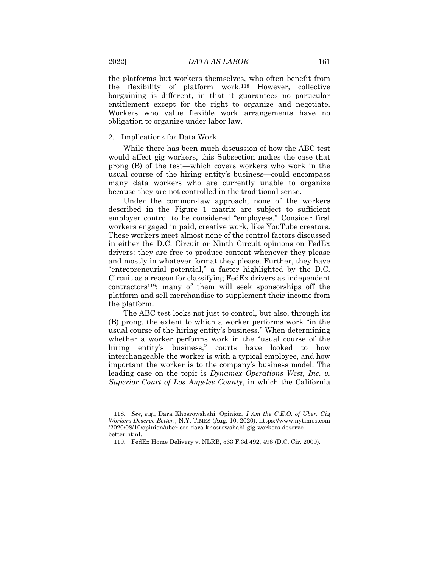the platforms but workers themselves, who often benefit from the flexibility of platform work.<sup>118</sup> However, collective bargaining is different, in that it guarantees no particular entitlement except for the right to organize and negotiate. Workers who value flexible work arrangements have no obligation to organize under labor law.

#### 2. Implications for Data Work

While there has been much discussion of how the ABC test would affect gig workers, this Subsection makes the case that prong (B) of the test—which covers workers who work in the usual course of the hiring entity's business—could encompass many data workers who are currently unable to organize because they are not controlled in the traditional sense.

Under the common-law approach, none of the workers described in the Figure 1 matrix are subject to sufficient employer control to be considered "employees." Consider first workers engaged in paid, creative work, like YouTube creators. These workers meet almost none of the control factors discussed in either the D.C. Circuit or Ninth Circuit opinions on FedEx drivers: they are free to produce content whenever they please and mostly in whatever format they please. Further, they have "entrepreneurial potential," a factor highlighted by the D.C. Circuit as a reason for classifying FedEx drivers as independent contractors119: many of them will seek sponsorships off the platform and sell merchandise to supplement their income from the platform.

The ABC test looks not just to control, but also, through its (B) prong, the extent to which a worker performs work "in the usual course of the hiring entity's business." When determining whether a worker performs work in the "usual course of the hiring entity's business," courts have looked to how interchangeable the worker is with a typical employee, and how important the worker is to the company's business model. The leading case on the topic is *Dynamex Operations West, Inc. v. Superior Court of Los Angeles County*, in which the California

<sup>118</sup>*. See, e.g.*, Dara Khosrowshahi, Opinion, *I Am the C.E.O. of Uber. Gig Workers Deserve Better.*, N.Y. TIMES (Aug. 10, 2020), https://www.nytimes.com /2020/08/10/opinion/uber-ceo-dara-khosrowshahi-gig-workers-deservebetter.html.

<sup>119.</sup> FedEx Home Delivery v. NLRB, 563 F.3d 492, 498 (D.C. Cir. 2009).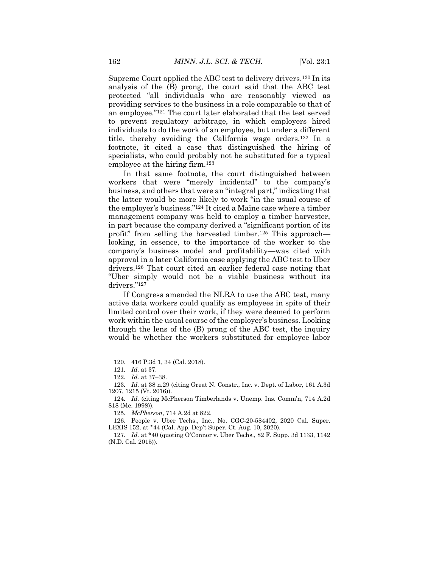Supreme Court applied the ABC test to delivery drivers.<sup>120</sup> In its analysis of the (B) prong, the court said that the ABC test protected "all individuals who are reasonably viewed as providing services to the business in a role comparable to that of an employee."<sup>121</sup> The court later elaborated that the test served to prevent regulatory arbitrage, in which employers hired individuals to do the work of an employee, but under a different title, thereby avoiding the California wage orders.<sup>122</sup> In a footnote, it cited a case that distinguished the hiring of specialists, who could probably not be substituted for a typical employee at the hiring firm.<sup>123</sup>

In that same footnote, the court distinguished between workers that were "merely incidental" to the company's business, and others that were an "integral part," indicating that the latter would be more likely to work "in the usual course of the employer's business."<sup>124</sup> It cited a Maine case where a timber management company was held to employ a timber harvester, in part because the company derived a "significant portion of its profit" from selling the harvested timber.<sup>125</sup> This approach looking, in essence, to the importance of the worker to the company's business model and profitability—was cited with approval in a later California case applying the ABC test to Uber drivers.<sup>126</sup> That court cited an earlier federal case noting that "Uber simply would not be a viable business without its drivers."<sup>127</sup>

If Congress amended the NLRA to use the ABC test, many active data workers could qualify as employees in spite of their limited control over their work, if they were deemed to perform work within the usual course of the employer's business. Looking through the lens of the (B) prong of the ABC test, the inquiry would be whether the workers substituted for employee labor

 $\overline{a}$ 

125*. McPherson*, 714 A.2d at 822.

<sup>120.</sup> 416 P.3d 1, 34 (Cal. 2018).

<sup>121</sup>*. Id.* at 37.

<sup>122</sup>*. Id.* at 37–38.

<sup>123</sup>*. Id.* at 38 n.29 (citing Great N. Constr., Inc. v. Dept. of Labor, 161 A.3d 1207, 1215 (Vt. 2016)).

<sup>124</sup>*. Id.* (citing McPherson Timberlands v. Unemp. Ins. Comm'n, 714 A.2d 818 (Me. 1998)).

<sup>126.</sup> People v. Uber Techs., Inc., No. CGC-20-584402, 2020 Cal. Super. LEXIS 152, at \*44 (Cal. App. Dep't Super. Ct. Aug. 10, 2020).

<sup>127</sup>*. Id.* at \*40 (quoting O'Connor v. Uber Techs., 82 F. Supp. 3d 1133, 1142 (N.D. Cal. 2015)).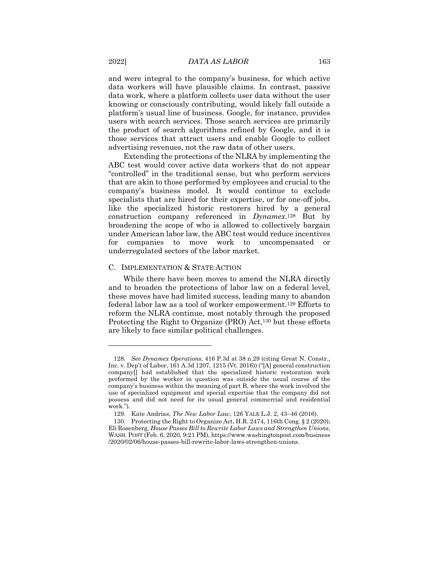and were integral to the company's business, for which active data workers will have plausible claims. In contrast, passive data work, where a platform collects user data without the user knowing or consciously contributing, would likely fall outside a platform's usual line of business. Google, for instance, provides users with search services. Those search services are primarily the product of search algorithms refined by Google, and it is those services that attract users and enable Google to collect advertising revenues, not the raw data of other users.

Extending the protections of the NLRA by implementing the ABC test would cover active data workers that do not appear "controlled" in the traditional sense, but who perform services that are akin to those performed by employees and crucial to the company's business model. It would continue to exclude specialists that are hired for their expertise, or for one-off jobs, like the specialized historic restorers hired by a general construction company referenced in *Dynamex*. <sup>128</sup> But by broadening the scope of who is allowed to collectively bargain under American labor law, the ABC test would reduce incentives for companies to move work to uncompensated or underregulated sectors of the labor market.

#### C. IMPLEMENTATION & STATE ACTION

While there have been moves to amend the NLRA directly and to broaden the protections of labor law on a federal level, these moves have had limited success, leading many to abandon federal labor law as a tool of worker empowerment.<sup>129</sup> Efforts to reform the NLRA continue, most notably through the proposed Protecting the Right to Organize (PRO) Act,<sup>130</sup> but these efforts are likely to face similar political challenges.

<sup>128</sup>*. See Dynamex Operations,* 416 P.3d at 38 n.29 (citing Great N. Constr., Inc. v. Dep't of Labor, 161 A.3d 1207, 1215 (Vt. 2016)) ("[A] general construction company[] had established that the specialized historic restoration work performed by the worker in question was outside the usual course of the company's business within the meaning of part B, where the work involved the use of specialized equipment and special expertise that the company did not possess and did not need for its usual general commercial and residential work.").

<sup>129.</sup> Kate Andrias, *The New Labor Law*, 126 YALE L.J. 2, 43–46 (2016).

<sup>130.</sup> Protecting the Right to Organize Act, H.R. 2474, 116th Cong. § 2 (2020); Eli Rosenberg, *House Passes Bill to Rewrite Labor Laws and Strengthen Unions*, WASH. POST (Feb. 6, 2020, 9:21 PM), https://www.washingtonpost.com/business /2020/02/06/house-passes-bill-rewrite-labor-laws-strengthen-unions.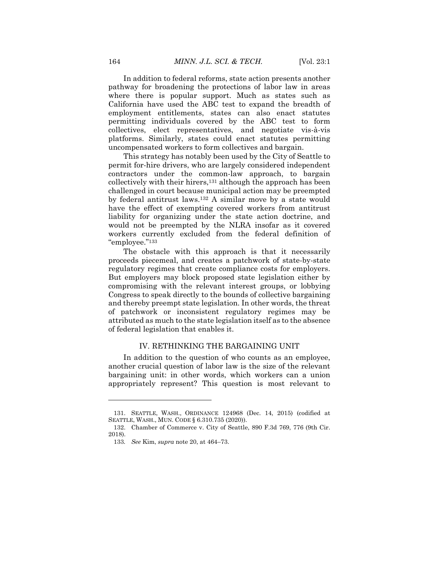In addition to federal reforms, state action presents another pathway for broadening the protections of labor law in areas where there is popular support. Much as states such as California have used the ABC test to expand the breadth of employment entitlements, states can also enact statutes permitting individuals covered by the ABC test to form collectives, elect representatives, and negotiate vis-à-vis platforms. Similarly, states could enact statutes permitting uncompensated workers to form collectives and bargain.

This strategy has notably been used by the City of Seattle to permit for-hire drivers, who are largely considered independent contractors under the common-law approach, to bargain collectively with their hirers,<sup>131</sup> although the approach has been challenged in court because municipal action may be preempted by federal antitrust laws.<sup>132</sup> A similar move by a state would have the effect of exempting covered workers from antitrust liability for organizing under the state action doctrine, and would not be preempted by the NLRA insofar as it covered workers currently excluded from the federal definition of "employee."<sup>133</sup>

The obstacle with this approach is that it necessarily proceeds piecemeal, and creates a patchwork of state-by-state regulatory regimes that create compliance costs for employers. But employers may block proposed state legislation either by compromising with the relevant interest groups, or lobbying Congress to speak directly to the bounds of collective bargaining and thereby preempt state legislation. In other words, the threat of patchwork or inconsistent regulatory regimes may be attributed as much to the state legislation itself as to the absence of federal legislation that enables it.

#### IV. RETHINKING THE BARGAINING UNIT

In addition to the question of who counts as an employee, another crucial question of labor law is the size of the relevant bargaining unit: in other words, which workers can a union appropriately represent? This question is most relevant to

<sup>131.</sup> SEATTLE, WASH., ORDINANCE 124968 (Dec. 14, 2015) (codified at SEATTLE, WASH., MUN. CODE § 6.310.735 (2020)).

<sup>132.</sup> Chamber of Commerce v. City of Seattle, 890 F.3d 769, 776 (9th Cir. 2018).

<sup>133</sup>*. See* Kim, *supra* note 20, at 464–73.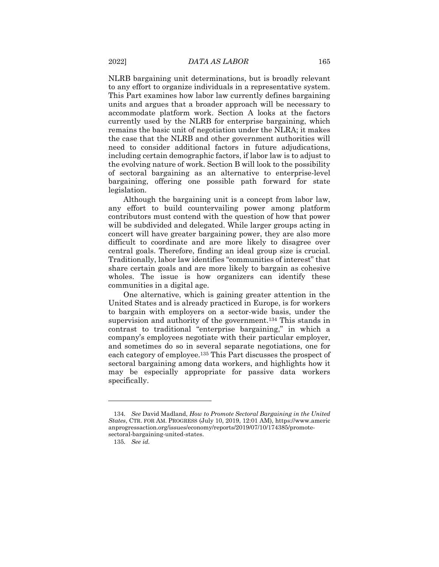NLRB bargaining unit determinations, but is broadly relevant to any effort to organize individuals in a representative system. This Part examines how labor law currently defines bargaining units and argues that a broader approach will be necessary to accommodate platform work. Section A looks at the factors currently used by the NLRB for enterprise bargaining, which remains the basic unit of negotiation under the NLRA; it makes the case that the NLRB and other government authorities will need to consider additional factors in future adjudications, including certain demographic factors, if labor law is to adjust to the evolving nature of work. Section B will look to the possibility of sectoral bargaining as an alternative to enterprise-level bargaining, offering one possible path forward for state legislation.

Although the bargaining unit is a concept from labor law, any effort to build countervailing power among platform contributors must contend with the question of how that power will be subdivided and delegated. While larger groups acting in concert will have greater bargaining power, they are also more difficult to coordinate and are more likely to disagree over central goals. Therefore, finding an ideal group size is crucial. Traditionally, labor law identifies "communities of interest" that share certain goals and are more likely to bargain as cohesive wholes. The issue is how organizers can identify these communities in a digital age.

One alternative, which is gaining greater attention in the United States and is already practiced in Europe, is for workers to bargain with employers on a sector-wide basis, under the supervision and authority of the government.<sup>134</sup> This stands in contrast to traditional "enterprise bargaining," in which a company's employees negotiate with their particular employer, and sometimes do so in several separate negotiations, one for each category of employee.<sup>135</sup> This Part discusses the prospect of sectoral bargaining among data workers, and highlights how it may be especially appropriate for passive data workers specifically.

<sup>134</sup>*. See* David Madland, *How to Promote Sectoral Bargaining in the United States*, CTR. FOR AM. PROGRESS (July 10, 2019, 12:01 AM), https://www.americ anprogressaction.org/issues/economy/reports/2019/07/10/174385/promotesectoral-bargaining-united-states.

<sup>135</sup>*. See id.*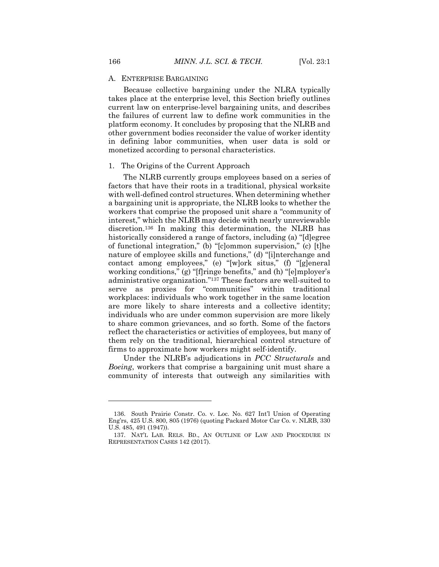#### A. ENTERPRISE BARGAINING

Because collective bargaining under the NLRA typically takes place at the enterprise level, this Section briefly outlines current law on enterprise-level bargaining units, and describes the failures of current law to define work communities in the platform economy. It concludes by proposing that the NLRB and other government bodies reconsider the value of worker identity in defining labor communities, when user data is sold or monetized according to personal characteristics.

#### 1. The Origins of the Current Approach

The NLRB currently groups employees based on a series of factors that have their roots in a traditional, physical worksite with well-defined control structures. When determining whether a bargaining unit is appropriate, the NLRB looks to whether the workers that comprise the proposed unit share a "community of interest," which the NLRB may decide with nearly unreviewable discretion.<sup>136</sup> In making this determination, the NLRB has historically considered a range of factors, including (a) "[d]egree of functional integration," (b) "[c]ommon supervision," (c) [t]he nature of employee skills and functions," (d) "[i]nterchange and contact among employees," (e) "[w]ork situs," (f) "[g]eneral working conditions," (g) "[f]ringe benefits," and (h) "[e]mployer's administrative organization."<sup>137</sup> These factors are well-suited to serve as proxies for "communities" within traditional workplaces: individuals who work together in the same location are more likely to share interests and a collective identity; individuals who are under common supervision are more likely to share common grievances, and so forth. Some of the factors reflect the characteristics or activities of employees, but many of them rely on the traditional, hierarchical control structure of firms to approximate how workers might self-identify.

Under the NLRB's adjudications in *PCC Structurals* and *Boeing*, workers that comprise a bargaining unit must share a community of interests that outweigh any similarities with

<sup>136.</sup> South Prairie Constr. Co. v. Loc. No. 627 Int'l Union of Operating Eng'rs, 425 U.S. 800, 805 (1976) (quoting Packard Motor Car Co. v. NLRB, 330 U.S. 485, 491 (1947)).

<sup>137.</sup> NAT'L LAB. RELS. BD., AN OUTLINE OF LAW AND PROCEDURE IN REPRESENTATION CASES 142 (2017).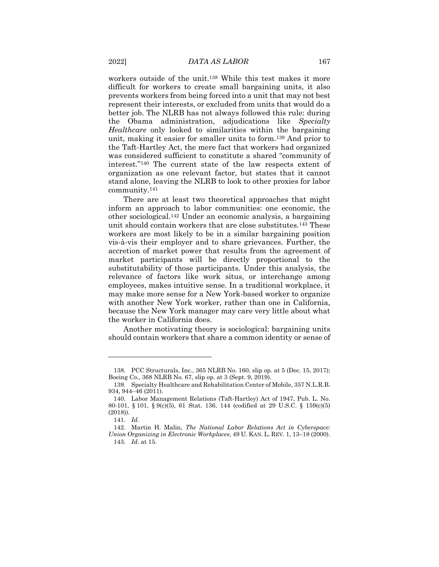workers outside of the unit.<sup>138</sup> While this test makes it more difficult for workers to create small bargaining units, it also prevents workers from being forced into a unit that may not best represent their interests, or excluded from units that would do a better job. The NLRB has not always followed this rule: during the Obama administration, adjudications like *Specialty Healthcare* only looked to similarities within the bargaining unit, making it easier for smaller units to form.<sup>139</sup> And prior to the Taft-Hartley Act, the mere fact that workers had organized was considered sufficient to constitute a shared "community of interest."<sup>140</sup> The current state of the law respects extent of organization as one relevant factor, but states that it cannot stand alone, leaving the NLRB to look to other proxies for labor community.<sup>141</sup>

There are at least two theoretical approaches that might inform an approach to labor communities: one economic, the other sociological.<sup>142</sup> Under an economic analysis, a bargaining unit should contain workers that are close substitutes.<sup>143</sup> These workers are most likely to be in a similar bargaining position vis-à-vis their employer and to share grievances. Further, the accretion of market power that results from the agreement of market participants will be directly proportional to the substitutability of those participants. Under this analysis, the relevance of factors like work situs, or interchange among employees, makes intuitive sense. In a traditional workplace, it may make more sense for a New York-based worker to organize with another New York worker, rather than one in California, because the New York manager may care very little about what the worker in California does.

Another motivating theory is sociological: bargaining units should contain workers that share a common identity or sense of

<sup>138.</sup> PCC Structurals, Inc., 365 NLRB No. 160, slip op. at 5 (Dec. 15, 2017); Boeing Co., 368 NLRB No. 67, slip op. at 3 (Sept. 9, 2019).

<sup>139.</sup> Specialty Healthcare and Rehabilitation Center of Mobile, 357 N.L.R.B. 934, 944–46 (2011).

<sup>140.</sup> Labor Management Relations (Taft-Hartley) Act of 1947, Pub. L. No. 80-101, § 101, § 9(c)(5), 61 Stat. 136, 144 (codified at 29 U.S.C. § 159(c)(5) (2018)).

<sup>141</sup>*. Id.*

<sup>142.</sup> Martin H. Malin, *The National Labor Relations Act in Cyberspace: Union Organizing in Electronic Workplaces*, 49 U. KAN. L. REV. 1, 13–18 (2000). 143*. Id*. at 15.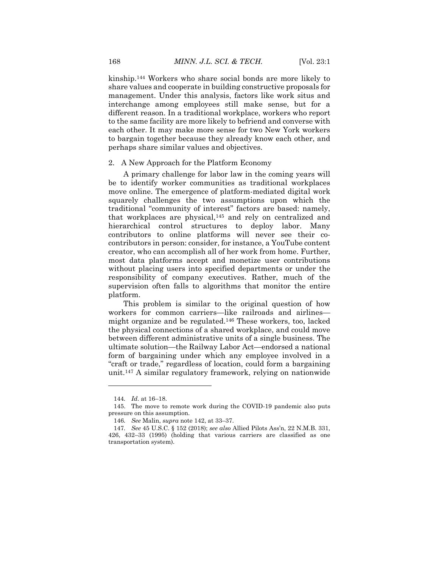kinship.<sup>144</sup> Workers who share social bonds are more likely to share values and cooperate in building constructive proposals for management. Under this analysis, factors like work situs and interchange among employees still make sense, but for a different reason. In a traditional workplace, workers who report to the same facility are more likely to befriend and converse with each other. It may make more sense for two New York workers to bargain together because they already know each other, and perhaps share similar values and objectives.

#### 2. A New Approach for the Platform Economy

A primary challenge for labor law in the coming years will be to identify worker communities as traditional workplaces move online. The emergence of platform-mediated digital work squarely challenges the two assumptions upon which the traditional "community of interest" factors are based: namely, that workplaces are physical,<sup>145</sup> and rely on centralized and hierarchical control structures to deploy labor. Many contributors to online platforms will never see their cocontributors in person: consider, for instance, a YouTube content creator, who can accomplish all of her work from home. Further, most data platforms accept and monetize user contributions without placing users into specified departments or under the responsibility of company executives. Rather, much of the supervision often falls to algorithms that monitor the entire platform.

This problem is similar to the original question of how workers for common carriers—like railroads and airlines might organize and be regulated.<sup>146</sup> These workers, too, lacked the physical connections of a shared workplace, and could move between different administrative units of a single business. The ultimate solution—the Railway Labor Act—endorsed a national form of bargaining under which any employee involved in a "craft or trade," regardless of location, could form a bargaining unit.<sup>147</sup> A similar regulatory framework, relying on nationwide

<sup>144</sup>*. Id*. at 16–18.

<sup>145.</sup> The move to remote work during the COVID-19 pandemic also puts pressure on this assumption.

<sup>146</sup>*. See* Malin, *supra* note 142, at 33–37.

<sup>147</sup>*. See* 45 U.S.C. § 152 (2018); *see also* Allied Pilots Ass'n, 22 N.M.B. 331, 426, 432–33 (1995) (holding that various carriers are classified as one transportation system).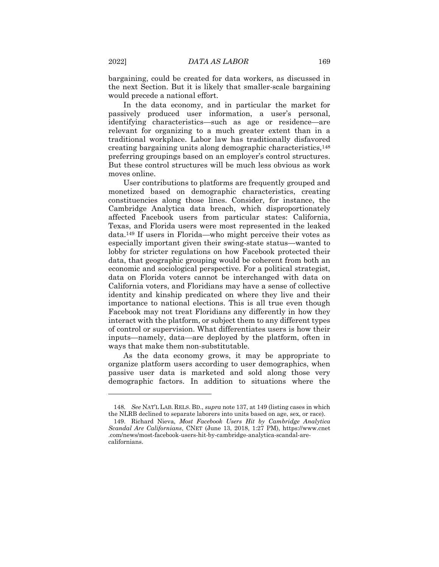bargaining, could be created for data workers, as discussed in the next Section. But it is likely that smaller-scale bargaining would precede a national effort.

In the data economy, and in particular the market for passively produced user information, a user's personal, identifying characteristics—such as age or residence—are relevant for organizing to a much greater extent than in a traditional workplace. Labor law has traditionally disfavored creating bargaining units along demographic characteristics,<sup>148</sup> preferring groupings based on an employer's control structures. But these control structures will be much less obvious as work moves online.

User contributions to platforms are frequently grouped and monetized based on demographic characteristics, creating constituencies along those lines. Consider, for instance, the Cambridge Analytica data breach, which disproportionately affected Facebook users from particular states: California, Texas, and Florida users were most represented in the leaked data.<sup>149</sup> If users in Florida—who might perceive their votes as especially important given their swing-state status—wanted to lobby for stricter regulations on how Facebook protected their data, that geographic grouping would be coherent from both an economic and sociological perspective. For a political strategist, data on Florida voters cannot be interchanged with data on California voters, and Floridians may have a sense of collective identity and kinship predicated on where they live and their importance to national elections. This is all true even though Facebook may not treat Floridians any differently in how they interact with the platform, or subject them to any different types of control or supervision. What differentiates users is how their inputs—namely, data—are deployed by the platform, often in ways that make them non-substitutable.

As the data economy grows, it may be appropriate to organize platform users according to user demographics, when passive user data is marketed and sold along those very demographic factors. In addition to situations where the

<sup>148</sup>*. See* NAT'L LAB. RELS. BD., *supra* note 137, at 149 (listing cases in which the NLRB declined to separate laborers into units based on age, sex, or race).

<sup>149.</sup> Richard Nieva, *Most Facebook Users Hit by Cambridge Analytica Scandal Are Californians*, CNET (June 13, 2018, 1:27 PM), https://www.cnet .com/news/most-facebook-users-hit-by-cambridge-analytica-scandal-arecalifornians.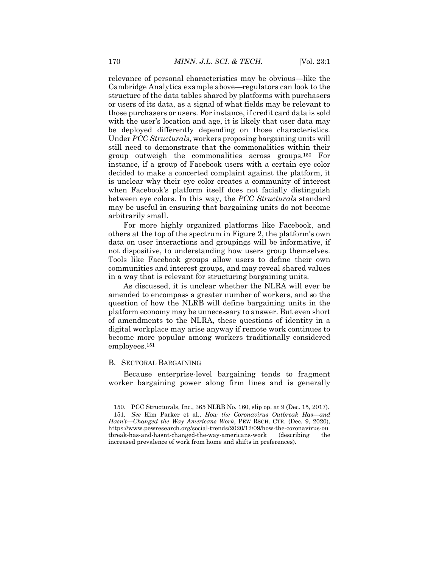relevance of personal characteristics may be obvious—like the Cambridge Analytica example above—regulators can look to the structure of the data tables shared by platforms with purchasers or users of its data, as a signal of what fields may be relevant to those purchasers or users. For instance, if credit card data is sold with the user's location and age, it is likely that user data may be deployed differently depending on those characteristics. Under *PCC Structurals*, workers proposing bargaining units will still need to demonstrate that the commonalities within their group outweigh the commonalities across groups.<sup>150</sup> For instance, if a group of Facebook users with a certain eye color decided to make a concerted complaint against the platform, it is unclear why their eye color creates a community of interest when Facebook's platform itself does not facially distinguish between eye colors. In this way, the *PCC Structurals* standard may be useful in ensuring that bargaining units do not become arbitrarily small.

For more highly organized platforms like Facebook, and others at the top of the spectrum in Figure 2, the platform's own data on user interactions and groupings will be informative, if not dispositive, to understanding how users group themselves. Tools like Facebook groups allow users to define their own communities and interest groups, and may reveal shared values in a way that is relevant for structuring bargaining units.

As discussed, it is unclear whether the NLRA will ever be amended to encompass a greater number of workers, and so the question of how the NLRB will define bargaining units in the platform economy may be unnecessary to answer. But even short of amendments to the NLRA, these questions of identity in a digital workplace may arise anyway if remote work continues to become more popular among workers traditionally considered employees.<sup>151</sup>

#### B. SECTORAL BARGAINING

 $\overline{a}$ 

Because enterprise-level bargaining tends to fragment worker bargaining power along firm lines and is generally

<sup>150.</sup> PCC Structurals, Inc., 365 NLRB No. 160, slip op. at 9 (Dec. 15, 2017). 151*. See* Kim Parker et al., *How the Coronavirus Outbreak Has—and Hasn't—Changed the Way Americans Work*, PEW RSCH. CTR. (Dec. 9, 2020), https://www.pewresearch.org/social-trends/2020/12/09/how-the-coronavirus-ou tbreak-has-and-hasnt-changed-the-way-americans-work (describing the increased prevalence of work from home and shifts in preferences).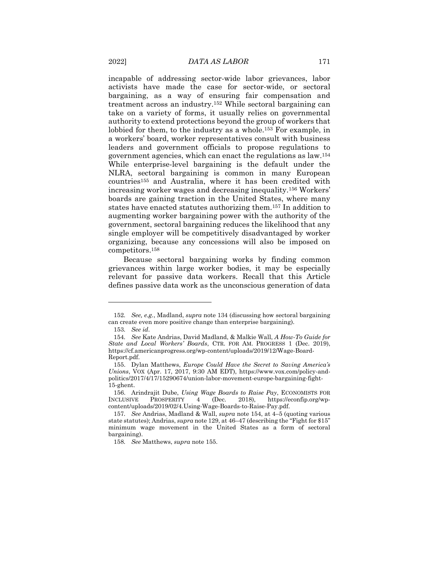incapable of addressing sector-wide labor grievances, labor activists have made the case for sector-wide, or sectoral bargaining, as a way of ensuring fair compensation and treatment across an industry.<sup>152</sup> While sectoral bargaining can take on a variety of forms, it usually relies on governmental authority to extend protections beyond the group of workers that lobbied for them, to the industry as a whole.<sup>153</sup> For example, in a workers' board, worker representatives consult with business leaders and government officials to propose regulations to government agencies, which can enact the regulations as law.<sup>154</sup> While enterprise-level bargaining is the default under the NLRA, sectoral bargaining is common in many European countries<sup>155</sup> and Australia, where it has been credited with increasing worker wages and decreasing inequality.<sup>156</sup> Workers' boards are gaining traction in the United States, where many states have enacted statutes authorizing them.<sup>157</sup> In addition to augmenting worker bargaining power with the authority of the government, sectoral bargaining reduces the likelihood that any single employer will be competitively disadvantaged by worker organizing, because any concessions will also be imposed on competitors.<sup>158</sup>

Because sectoral bargaining works by finding common grievances within large worker bodies, it may be especially relevant for passive data workers. Recall that this Article defines passive data work as the unconscious generation of data

<sup>152</sup>*. See, e.g.*, Madland, *supra* note 134 (discussing how sectoral bargaining can create even more positive change than enterprise bargaining).

<sup>153</sup>*. See id*.

<sup>154</sup>*. See* Kate Andrias, David Madland, & Malkie Wall, *A How-To Guide for State and Local Workers' Boards*, CTR. FOR AM. PROGRESS 1 (Dec. 2019), https://cf.americanprogress.org/wp-content/uploads/2019/12/Wage-Board-Report.pdf.

<sup>155.</sup> Dylan Matthews, *Europe Could Have the Secret to Saving America's Unions*, VOX (Apr. 17, 2017, 9:30 AM EDT), https://www.vox.com/policy-andpolitics/2017/4/17/15290674/union-labor-movement-europe-bargaining-fight-15-ghent.

<sup>156.</sup> Arindrajit Dube, *Using Wage Boards to Raise Pay*, ECONOMISTS FOR INCLUSIVE PROSPERITY 4 (Dec. 2018), https://econfip.org/wpcontent/uploads/2019/02/4.Using-Wage-Boards-to-Raise-Pay.pdf.

<sup>157</sup>*. See* Andrias, Madland & Wall, *supra* note 154, at 4–5 (quoting various state statutes); Andrias, *supra* note 129, at 46–47 (describing the "Fight for \$15" minimum wage movement in the United States as a form of sectoral bargaining).

<sup>158</sup>*. See* Matthews, *supra* note 155.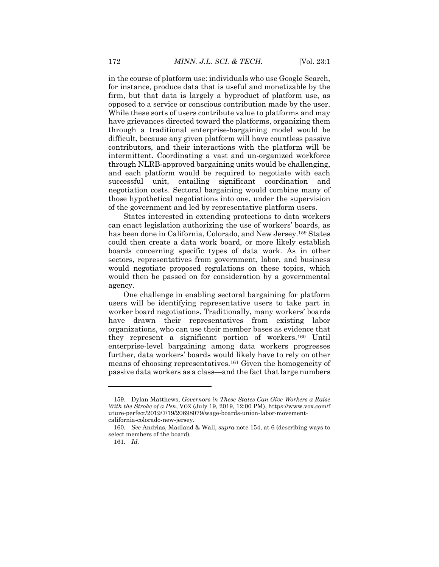in the course of platform use: individuals who use Google Search, for instance, produce data that is useful and monetizable by the firm, but that data is largely a byproduct of platform use, as opposed to a service or conscious contribution made by the user. While these sorts of users contribute value to platforms and may have grievances directed toward the platforms, organizing them through a traditional enterprise-bargaining model would be difficult, because any given platform will have countless passive contributors, and their interactions with the platform will be intermittent. Coordinating a vast and un-organized workforce through NLRB-approved bargaining units would be challenging, and each platform would be required to negotiate with each successful unit, entailing significant coordination and negotiation costs. Sectoral bargaining would combine many of those hypothetical negotiations into one, under the supervision of the government and led by representative platform users.

States interested in extending protections to data workers can enact legislation authorizing the use of workers' boards, as has been done in California, Colorado, and New Jersey.<sup>159</sup> States could then create a data work board, or more likely establish boards concerning specific types of data work. As in other sectors, representatives from government, labor, and business would negotiate proposed regulations on these topics, which would then be passed on for consideration by a governmental agency.

One challenge in enabling sectoral bargaining for platform users will be identifying representative users to take part in worker board negotiations. Traditionally, many workers' boards have drawn their representatives from existing labor organizations, who can use their member bases as evidence that they represent a significant portion of workers.<sup>160</sup> Until enterprise-level bargaining among data workers progresses further, data workers' boards would likely have to rely on other means of choosing representatives.<sup>161</sup> Given the homogeneity of passive data workers as a class—and the fact that large numbers

<sup>159.</sup> Dylan Matthews, *Governors in These States Can Give Workers a Raise With the Stroke of a Pen*, VOX (July 19, 2019, 12:00 PM), https://www.vox.com/f uture-perfect/2019/7/19/20698079/wage-boards-union-labor-movementcalifornia-colorado-new-jersey.

<sup>160</sup>*. See* Andrias, Madland & Wall, *supra* note 154, at 6 (describing ways to select members of the board).

<sup>161</sup>*. Id.*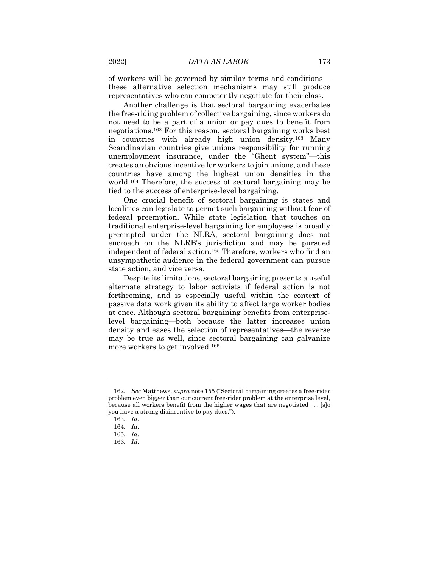of workers will be governed by similar terms and conditions these alternative selection mechanisms may still produce representatives who can competently negotiate for their class.

Another challenge is that sectoral bargaining exacerbates the free-riding problem of collective bargaining, since workers do not need to be a part of a union or pay dues to benefit from negotiations.<sup>162</sup> For this reason, sectoral bargaining works best in countries with already high union density.<sup>163</sup> Many Scandinavian countries give unions responsibility for running unemployment insurance, under the "Ghent system"—this creates an obvious incentive for workers to join unions, and these countries have among the highest union densities in the world.<sup>164</sup> Therefore, the success of sectoral bargaining may be tied to the success of enterprise-level bargaining.

One crucial benefit of sectoral bargaining is states and localities can legislate to permit such bargaining without fear of federal preemption. While state legislation that touches on traditional enterprise-level bargaining for employees is broadly preempted under the NLRA, sectoral bargaining does not encroach on the NLRB's jurisdiction and may be pursued independent of federal action.<sup>165</sup> Therefore, workers who find an unsympathetic audience in the federal government can pursue state action, and vice versa.

Despite its limitations, sectoral bargaining presents a useful alternate strategy to labor activists if federal action is not forthcoming, and is especially useful within the context of passive data work given its ability to affect large worker bodies at once. Although sectoral bargaining benefits from enterpriselevel bargaining—both because the latter increases union density and eases the selection of representatives—the reverse may be true as well, since sectoral bargaining can galvanize more workers to get involved.<sup>166</sup>

<sup>162</sup>*. See* Matthews, *supra* note 155 ("Sectoral bargaining creates a free-rider problem even bigger than our current free-rider problem at the enterprise level, because all workers benefit from the higher wages that are negotiated . . . [s]o you have a strong disincentive to pay dues.").

<sup>163</sup>*. Id.*

<sup>164</sup>*. Id.*

<sup>165</sup>*. Id.*

<sup>166</sup>*. Id.*